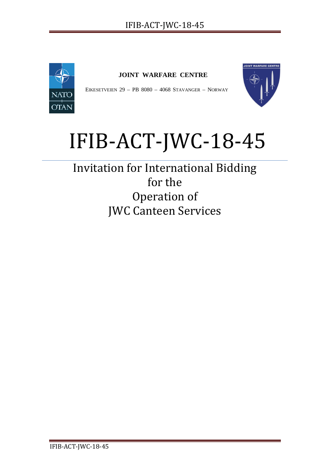

**JOINT WARFARE CENTRE**

EIKESETVEIEN 29 – PB 8080 – 4068 STAVANGER – NORWAY



# IFIB-ACT-JWC-18-45

Invitation for International Bidding for the Operation of JWC Canteen Services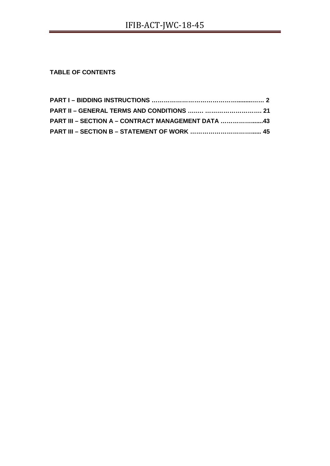**TABLE OF CONTENTS**

| PART III - SECTION A - CONTRACT MANAGEMENT DATA 43 |  |
|----------------------------------------------------|--|
|                                                    |  |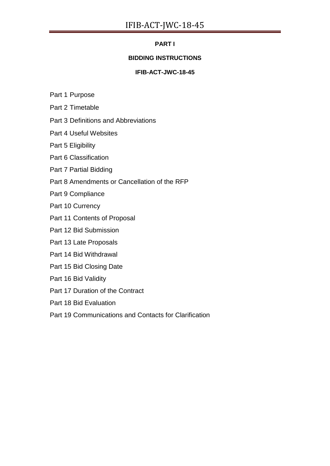# **PART I**

# **BIDDING INSTRUCTIONS**

# **IFIB-ACT-JWC-18-45**

- Part 1 Purpose
- Part 2 Timetable
- Part 3 Definitions and Abbreviations
- Part 4 Useful Websites
- Part 5 Eligibility
- Part 6 Classification
- Part 7 Partial Bidding
- Part 8 Amendments or Cancellation of the RFP
- Part 9 Compliance
- Part 10 Currency
- Part 11 Contents of Proposal
- Part 12 Bid Submission
- Part 13 Late Proposals
- Part 14 Bid Withdrawal
- Part 15 Bid Closing Date
- Part 16 Bid Validity
- Part 17 Duration of the Contract
- Part 18 Bid Evaluation
- Part 19 Communications and Contacts for Clarification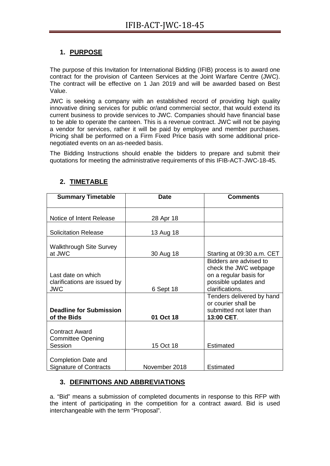# **1. PURPOSE**

The purpose of this Invitation for International Bidding (IFIB) process is to award one contract for the provision of Canteen Services at the Joint Warfare Centre (JWC). The contract will be effective on 1 Jan 2019 and will be awarded based on Best Value.

JWC is seeking a company with an established record of providing high quality innovative dining services for public or/and commercial sector, that would extend its current business to provide services to JWC. Companies should have financial base to be able to operate the canteen. This is a revenue contract. JWC will not be paying a vendor for services, rather it will be paid by employee and member purchases. Pricing shall be performed on a Firm Fixed Price basis with some additional pricenegotiated events on an as-needed basis.

The Bidding Instructions should enable the bidders to prepare and submit their quotations for meeting the administrative requirements of this IFIB-ACT-JWC-18-45.

| <b>Summary Timetable</b>                                         | Date          | <b>Comments</b>                                                                                                      |
|------------------------------------------------------------------|---------------|----------------------------------------------------------------------------------------------------------------------|
|                                                                  |               |                                                                                                                      |
| Notice of Intent Release                                         | 28 Apr 18     |                                                                                                                      |
| <b>Solicitation Release</b>                                      | 13 Aug 18     |                                                                                                                      |
| <b>Walkthrough Site Survey</b><br>at JWC                         | 30 Aug 18     | Starting at 09:30 a.m. CET                                                                                           |
| Last date on which<br>clarifications are issued by<br><b>JWC</b> | 6 Sept 18     | Bidders are advised to<br>check the JWC webpage<br>on a regular basis for<br>possible updates and<br>clarifications. |
| <b>Deadline for Submission</b><br>of the Bids                    | 01 Oct 18     | Tenders delivered by hand<br>or courier shall be<br>submitted not later than<br>13:00 CET.                           |
| <b>Contract Award</b><br><b>Committee Opening</b><br>Session     | 15 Oct 18     | Estimated                                                                                                            |
| <b>Completion Date and</b><br><b>Signature of Contracts</b>      | November 2018 | <b>Estimated</b>                                                                                                     |

# **2. TIMETABLE**

# **3. DEFINITIONS AND ABBREVIATIONS**

a. "Bid" means a submission of completed documents in response to this RFP with the intent of participating in the competition for a contract award. Bid is used interchangeable with the term "Proposal".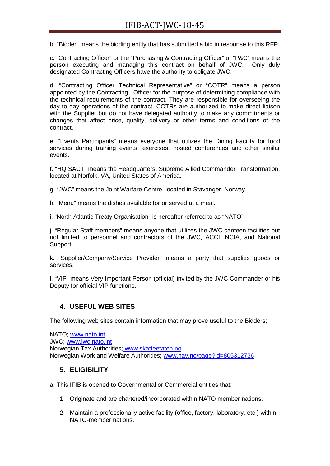b. "Bidder" means the bidding entity that has submitted a bid in response to this RFP.

c. "Contracting Officer" or the "Purchasing & Contracting Officer" or "P&C" means the person executing and managing this contract on behalf of JWC. Only duly designated Contracting Officers have the authority to obligate JWC.

d. "Contracting Officer Technical Representative" or "COTR" means a person appointed by the Contracting Officer for the purpose of determining compliance with the technical requirements of the contract. They are responsible for overseeing the day to day operations of the contract. COTRs are authorized to make direct liaison with the Supplier but do not have delegated authority to make any commitments or changes that affect price, quality, delivery or other terms and conditions of the contract.

e. "Events Participants" means everyone that utilizes the Dining Facility for food services during training events, exercises, hosted conferences and other similar events.

f. "HQ SACT" means the Headquarters, Supreme Allied Commander Transformation, located at Norfolk, VA, United States of America.

g. "JWC" means the Joint Warfare Centre, located in Stavanger, Norway.

h. "Menu" means the dishes available for or served at a meal.

i. "North Atlantic Treaty Organisation" is hereafter referred to as "NATO".

j. "Regular Staff members" means anyone that utilizes the JWC canteen facilities but not limited to personnel and contractors of the JWC, ACCI, NCIA, and National Support

k. "Supplier/Company/Service Provider" means a party that supplies goods or services.

l. "VIP" means Very Important Person (official) invited by the JWC Commander or his Deputy for official VIP functions.

# **4. USEFUL WEB SITES**

The following web sites contain information that may prove useful to the Bidders;

NATO; [www.nato.int](http://www.nato.int/) JWC; [www.jwc.nato.int](http://www.jwc.nato.int/) Norwegian Tax Authorities; [www.skatteetaten.no](http://www.skatteetaten.no/) Norwegian Work and Welfare Authorities; [www.nav.no/page?id=805312736](http://www.nav.no/page?id=805312736)

# **5. ELIGIBILITY**

a. This IFIB is opened to Governmental or Commercial entities that:

- 1. Originate and are chartered/incorporated within NATO member nations.
- 2. Maintain a professionally active facility (office, factory, laboratory, etc.) within NATO-member nations.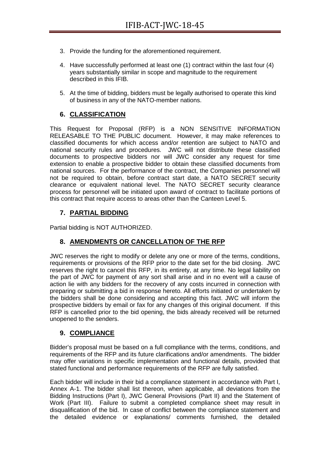- 3. Provide the funding for the aforementioned requirement.
- 4. Have successfully performed at least one (1) contract within the last four (4) years substantially similar in scope and magnitude to the requirement described in this IFIB.
- 5. At the time of bidding, bidders must be legally authorised to operate this kind of business in any of the NATO-member nations.

# **6. CLASSIFICATION**

This Request for Proposal (RFP) is a NON SENSITIVE INFORMATION RELEASABLE TO THE PUBLIC document. However, it may make references to classified documents for which access and/or retention are subject to NATO and national security rules and procedures. JWC will not distribute these classified documents to prospective bidders nor will JWC consider any request for time extension to enable a prospective bidder to obtain these classified documents from national sources. For the performance of the contract, the Companies personnel will not be required to obtain, before contract start date, a NATO SECRET security clearance or equivalent national level. The NATO SECRET security clearance process for personnel will be initiated upon award of contract to facilitate portions of this contract that require access to areas other than the Canteen Level 5.

# **7. PARTIAL BIDDING**

Partial bidding is NOT AUTHORIZED.

# **8. AMENDMENTS OR CANCELLATION OF THE RFP**

JWC reserves the right to modify or delete any one or more of the terms, conditions, requirements or provisions of the RFP prior to the date set for the bid closing. JWC reserves the right to cancel this RFP, in its entirety, at any time. No legal liability on the part of JWC for payment of any sort shall arise and in no event will a cause of action lie with any bidders for the recovery of any costs incurred in connection with preparing or submitting a bid in response hereto. All efforts initiated or undertaken by the bidders shall be done considering and accepting this fact. JWC will inform the prospective bidders by email or fax for any changes of this original document. If this RFP is cancelled prior to the bid opening, the bids already received will be returned unopened to the senders.

# **9. COMPLIANCE**

Bidder's proposal must be based on a full compliance with the terms, conditions, and requirements of the RFP and its future clarifications and/or amendments. The bidder may offer variations in specific implementation and functional details, provided that stated functional and performance requirements of the RFP are fully satisfied.

Each bidder will include in their bid a compliance statement in accordance with Part I, Annex A-1. The bidder shall list thereon, when applicable, all deviations from the Bidding Instructions (Part I), JWC General Provisions (Part II) and the Statement of Work (Part III). Failure to submit a completed compliance sheet may result in disqualification of the bid. In case of conflict between the compliance statement and the detailed evidence or explanations/ comments furnished, the detailed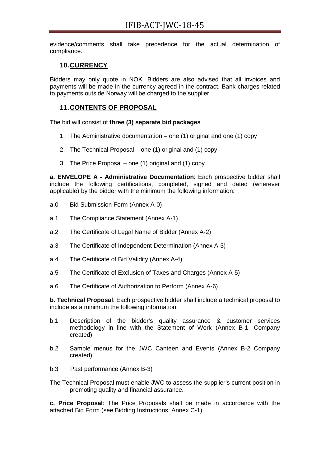evidence/comments shall take precedence for the actual determination of compliance.

# **10.CURRENCY**

Bidders may only quote in NOK. Bidders are also advised that all invoices and payments will be made in the currency agreed in the contract. Bank charges related to payments outside Norway will be charged to the supplier.

# **11.CONTENTS OF PROPOSAL**

The bid will consist of **three (3) separate bid packages**

- 1. The Administrative documentation one (1) original and one (1) copy
- 2. The Technical Proposal one (1) original and (1) copy
- 3. The Price Proposal one (1) original and (1) copy

**a. ENVELOPE A - Administrative Documentation**: Each prospective bidder shall include the following certifications, completed, signed and dated (wherever applicable) by the bidder with the minimum the following information:

- a.0 Bid Submission Form (Annex A-0)
- a.1 The Compliance Statement (Annex A-1)
- a.2 The Certificate of Legal Name of Bidder (Annex A-2)
- a.3 The Certificate of Independent Determination (Annex A-3)
- a.4 The Certificate of Bid Validity (Annex A-4)
- a.5 The Certificate of Exclusion of Taxes and Charges (Annex A-5)
- a.6 The Certificate of Authorization to Perform (Annex A-6)

**b. Technical Proposal**: Each prospective bidder shall include a technical proposal to include as a minimum the following information:

- b.1 Description of the bidder's quality assurance & customer services methodology in line with the Statement of Work (Annex B-1- Company created)
- b.2 Sample menus for the JWC Canteen and Events (Annex B-2 Company created)
- b.3 Past performance (Annex B-3)

The Technical Proposal must enable JWC to assess the supplier's current position in promoting quality and financial assurance.

**c. Price Proposal**: The Price Proposals shall be made in accordance with the attached Bid Form (see Bidding Instructions, Annex C-1).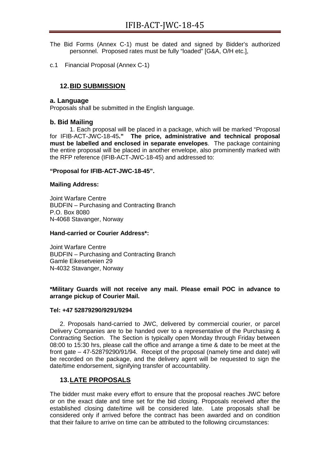- The Bid Forms (Annex C-1) must be dated and signed by Bidder's authorized personnel. Proposed rates must be fully "loaded" [G&A, O/H etc.],
- c.1 Financial Proposal (Annex C-1)

# **12.BID SUBMISSION**

#### **a. Language**

Proposals shall be submitted in the English language.

#### **b. Bid Mailing**

1. Each proposal will be placed in a package, which will be marked "Proposal for IFIB-ACT-JWC-18-45**." The price, administrative and technical proposal must be labelled and enclosed in separate envelopes**. The package containing the entire proposal will be placed in another envelope, also prominently marked with the RFP reference (IFIB-ACT-JWC-18-45) and addressed to:

#### **"Proposal for IFIB-ACT-JWC-18-45".**

#### **Mailing Address:**

Joint Warfare Centre BUDFIN – Purchasing and Contracting Branch P.O. Box 8080 N-4068 Stavanger, Norway

#### **Hand-carried or Courier Address\*:**

Joint Warfare Centre BUDFIN – Purchasing and Contracting Branch Gamle Eikesetveien 29 N-4032 Stavanger, Norway

#### **\*Military Guards will not receive any mail. Please email POC in advance to arrange pickup of Courier Mail.**

#### **Tel: +47 52879290/9291/9294**

2. Proposals hand-carried to JWC, delivered by commercial courier, or parcel Delivery Companies are to be handed over to a representative of the Purchasing & Contracting Section. The Section is typically open Monday through Friday between 08:00 to 15:30 hrs, please call the office and arrange a time & date to be meet at the front gate – 47-52879290/91/94. Receipt of the proposal (namely time and date) will be recorded on the package, and the delivery agent will be requested to sign the date/time endorsement, signifying transfer of accountability.

# **13.LATE PROPOSALS**

The bidder must make every effort to ensure that the proposal reaches JWC before or on the exact date and time set for the bid closing. Proposals received after the established closing date/time will be considered late. Late proposals shall be considered only if arrived before the contract has been awarded and on condition that their failure to arrive on time can be attributed to the following circumstances: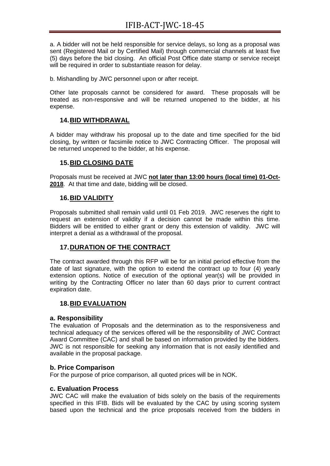a. A bidder will not be held responsible for service delays, so long as a proposal was sent (Registered Mail or by Certified Mail) through commercial channels at least five (5) days before the bid closing. An official Post Office date stamp or service receipt will be required in order to substantiate reason for delay.

b. Mishandling by JWC personnel upon or after receipt.

Other late proposals cannot be considered for award. These proposals will be treated as non-responsive and will be returned unopened to the bidder, at his expense.

#### **14.BID WITHDRAWAL**

A bidder may withdraw his proposal up to the date and time specified for the bid closing, by written or facsimile notice to JWC Contracting Officer. The proposal will be returned unopened to the bidder, at his expense.

#### **15.BID CLOSING DATE**

Proposals must be received at JWC **not later than 13:00 hours (local time) 01-Oct-2018**. At that time and date, bidding will be closed.

#### **16.BID VALIDITY**

Proposals submitted shall remain valid until 01 Feb 2019. JWC reserves the right to request an extension of validity if a decision cannot be made within this time. Bidders will be entitled to either grant or deny this extension of validity. JWC will interpret a denial as a withdrawal of the proposal.

# **17.DURATION OF THE CONTRACT**

The contract awarded through this RFP will be for an initial period effective from the date of last signature, with the option to extend the contract up to four (4) yearly extension options. Notice of execution of the optional year(s) will be provided in writing by the Contracting Officer no later than 60 days prior to current contract expiration date.

# **18.BID EVALUATION**

#### **a. Responsibility**

The evaluation of Proposals and the determination as to the responsiveness and technical adequacy of the services offered will be the responsibility of JWC Contract Award Committee (CAC) and shall be based on information provided by the bidders. JWC is not responsible for seeking any information that is not easily identified and available in the proposal package.

#### **b. Price Comparison**

For the purpose of price comparison, all quoted prices will be in NOK.

#### **c. Evaluation Process**

JWC CAC will make the evaluation of bids solely on the basis of the requirements specified in this IFIB. Bids will be evaluated by the CAC by using scoring system based upon the technical and the price proposals received from the bidders in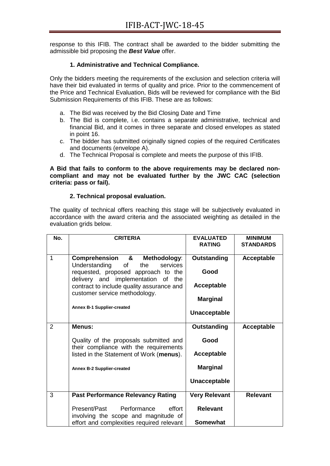response to this IFIB. The contract shall be awarded to the bidder submitting the admissible bid proposing the *Best Value* offer.

#### **1. Administrative and Technical Compliance.**

Only the bidders meeting the requirements of the exclusion and selection criteria will have their bid evaluated in terms of quality and price. Prior to the commencement of the Price and Technical Evaluation, Bids will be reviewed for compliance with the Bid Submission Requirements of this IFIB. These are as follows:

- a. The Bid was received by the Bid Closing Date and Time
- b. The Bid is complete, i.e. contains a separate administrative, technical and financial Bid, and it comes in three separate and closed envelopes as stated in point 16.
- c. The bidder has submitted originally signed copies of the required Certificates and documents (envelope A).
- d. The Technical Proposal is complete and meets the purpose of this IFIB.

#### **A Bid that fails to conform to the above requirements may be declared noncompliant and may not be evaluated further by the JWC CAC (selection criteria: pass or fail).**

#### **2. Technical proposal evaluation.**

The quality of technical offers reaching this stage will be subjectively evaluated in accordance with the award criteria and the associated weighting as detailed in the evaluation grids below.

| No.            | <b>CRITERIA</b>                                                                                                               | <b>EVALUATED</b><br><b>RATING</b> | <b>MINIMUM</b><br><b>STANDARDS</b> |
|----------------|-------------------------------------------------------------------------------------------------------------------------------|-----------------------------------|------------------------------------|
| $\mathbf 1$    | $\mathbf{g}$<br><b>Comprehension</b><br>Methodology:                                                                          | Outstanding                       | Acceptable                         |
|                | Understanding<br><b>of</b><br>the<br>services<br>requested, proposed approach to the<br>delivery and implementation of<br>the | Good                              |                                    |
|                | contract to include quality assurance and<br>customer service methodology.                                                    | Acceptable                        |                                    |
|                |                                                                                                                               | <b>Marginal</b>                   |                                    |
|                | Annex B-1 Supplier-created                                                                                                    | <b>Unacceptable</b>               |                                    |
| $\overline{2}$ | Menus:                                                                                                                        | Outstanding                       | Acceptable                         |
|                | Quality of the proposals submitted and<br>their compliance with the requirements                                              | Good                              |                                    |
|                | listed in the Statement of Work (menus).                                                                                      | Acceptable                        |                                    |
|                | <b>Annex B-2 Supplier-created</b>                                                                                             | <b>Marginal</b>                   |                                    |
|                |                                                                                                                               | Unacceptable                      |                                    |
| 3              | <b>Past Performance Relevancy Rating</b>                                                                                      | <b>Very Relevant</b>              | <b>Relevant</b>                    |
|                | Present/Past<br>Performance<br>effort<br>involving the scope and magnitude of                                                 | <b>Relevant</b>                   |                                    |
|                | effort and complexities required relevant                                                                                     | <b>Somewhat</b>                   |                                    |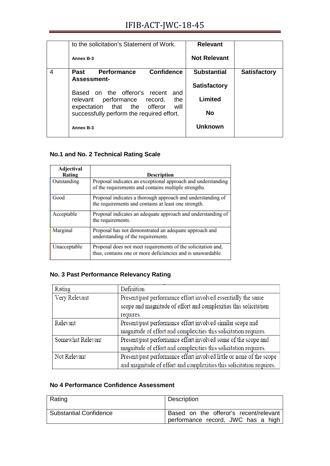# IFIB-ACT-JWC-18-45

|   | to the solicitation's Statement of Work.                                                                               | <b>Relevant</b>     |                     |
|---|------------------------------------------------------------------------------------------------------------------------|---------------------|---------------------|
|   | Annex B-3                                                                                                              | <b>Not Relevant</b> |                     |
| 4 | <b>Confidence</b><br><b>Performance</b><br>Past                                                                        | <b>Substantial</b>  | <b>Satisfactory</b> |
|   | <b>Assessment-</b>                                                                                                     | <b>Satisfactory</b> |                     |
|   | Based on the offeror's recent<br>and<br>performance record,<br>the<br>relevant<br>will<br>expectation that the offeror | Limited             |                     |
|   | successfully perform the required effort.                                                                              | No                  |                     |
|   | Annex B-3                                                                                                              | Unknown             |                     |

# **No.1 and No. 2 Technical Rating Scale**

| <b>Adjectival</b><br><b>Rating</b> | <b>Description</b>                                                                                                          |
|------------------------------------|-----------------------------------------------------------------------------------------------------------------------------|
| Outstanding                        | Proposal indicates an exceptional approach and understanding<br>of the requirements and contains multiple strengths.        |
| Good                               | Proposal indicates a thorough approach and understanding of<br>the requirements and contains at least one strength.         |
| Acceptable                         | Proposal indicates an adequate approach and understanding of<br>the requirements.                                           |
| Marginal                           | Proposal has not demonstrated an adequate approach and<br>understanding of the requirements.                                |
| Unacceptable                       | Proposal does not meet requirements of the solicitation and,<br>thus, contains one or more deficiencies and is unawardable. |

# **No. 3 Past Performance Relevancy Rating**

| Rating            | Definition                                                                    |
|-------------------|-------------------------------------------------------------------------------|
| Very Relevant     | Present/past performance effort involved essentially the same                 |
|                   | scope and magnitude of effort and complexities this solicitation<br>requires. |
| Relevant          | Present/past performance effort involved similar scope and                    |
|                   | magnitude of effort and complexities this solicitation requires.              |
| Somewhat Relevant | Present/past performance effort involved some of the scope and                |
|                   | magnitude of effort and complexities this solicitation requires.              |
| Not Relevant      | Present/past performance effort involved little or none of the scope          |
|                   | and magnitude of effort and complexities this solicitation requires.          |

# **No 4 Performance Confidence Assessment**

| Rating                        | Description                                                                  |
|-------------------------------|------------------------------------------------------------------------------|
| <b>Substantial Confidence</b> | Based on the offeror's recent/relevant<br>performance record, JWC has a high |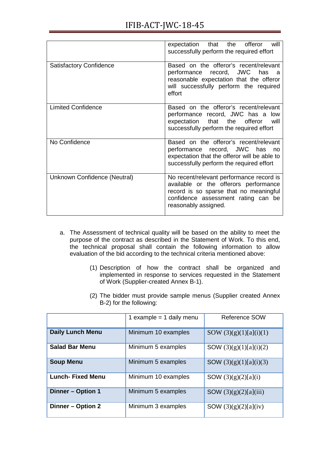|                                | expectation that the<br>offeror<br>will<br>successfully perform the required effort                                                                                                        |
|--------------------------------|--------------------------------------------------------------------------------------------------------------------------------------------------------------------------------------------|
| <b>Satisfactory Confidence</b> | Based on the offeror's recent/relevant<br>performance record, JWC has<br>a<br>reasonable expectation that the offeror<br>will successfully perform the required<br>effort                  |
| <b>Limited Confidence</b>      | Based on the offeror's recent/relevant<br>performance record, JWC has a low<br>that the<br>expectation<br>offeror will<br>successfully perform the required effort                         |
| No Confidence                  | Based on the offeror's recent/relevant<br>performance record, JWC has<br>no<br>expectation that the offeror will be able to<br>successfully perform the required effort                    |
| Unknown Confidence (Neutral)   | No recent/relevant performance record is<br>available or the offerors performance<br>record is so sparse that no meaningful<br>confidence assessment rating can be<br>reasonably assigned. |

- a. The Assessment of technical quality will be based on the ability to meet the purpose of the contract as described in the Statement of Work. To this end, the technical proposal shall contain the following information to allow evaluation of the bid according to the technical criteria mentioned above:
	- (1) Description of how the contract shall be organized and implemented in response to services requested in the Statement of Work (Supplier-created Annex B-1).
	- (2) The bidder must provide sample menus (Supplier created Annex B-2) for the following:

|                          | 1 example = $1$ daily menu | Reference SOW            |
|--------------------------|----------------------------|--------------------------|
| <b>Daily Lunch Menu</b>  | Minimum 10 examples        | SOW $(3)(g)(1)[a](i)(1)$ |
| <b>Salad Bar Menu</b>    | Minimum 5 examples         | SOW $(3)(g)(1)[a](i)(2)$ |
| <b>Soup Menu</b>         | Minimum 5 examples         | SOW $(3)(g)(1)[a](i)(3)$ |
| <b>Lunch-Fixed Menu</b>  | Minimum 10 examples        | SOW $(3)(g)(2)[a](i)$    |
| <b>Dinner - Option 1</b> | Minimum 5 examples         | SOW $(3)(g)(2)[a](iii)$  |
| Dinner - Option 2        | Minimum 3 examples         | SOW $(3)(g)(2)[a](iv)$   |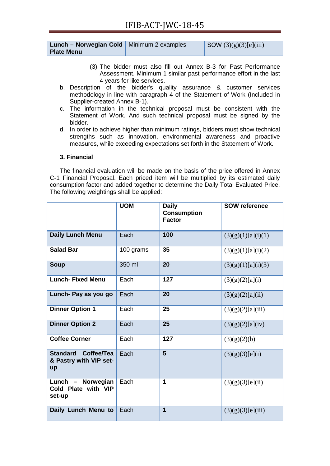# IFIB-ACT-JWC-18-45

| Lunch – Norwegian Cold   Minimum 2 examples | SOW $(3)(g)(3)[e](iii)$ |
|---------------------------------------------|-------------------------|
| <b>Plate Menu</b>                           |                         |

- (3) The bidder must also fill out Annex B-3 for Past Performance Assessment. Minimum 1 similar past performance effort in the last 4 years for like services.
- b. Description of the bidder's quality assurance & customer services methodology in line with paragraph 4 of the Statement of Work (Included in Supplier-created Annex B-1).
- c. The information in the technical proposal must be consistent with the Statement of Work. And such technical proposal must be signed by the bidder.
- d. In order to achieve higher than minimum ratings, bidders must show technical strengths such as innovation, environmental awareness and proactive measures, while exceeding expectations set forth in the Statement of Work.

#### **3. Financial**

The financial evaluation will be made on the basis of the price offered in Annex C-1 Financial Proposal. Each priced item will be multiplied by its estimated daily consumption factor and added together to determine the Daily Total Evaluated Price. The following weightings shall be applied:

|                                                               | <b>UOM</b> | <b>Daily</b><br><b>Consumption</b><br><b>Factor</b> | <b>SOW reference</b> |
|---------------------------------------------------------------|------------|-----------------------------------------------------|----------------------|
| <b>Daily Lunch Menu</b>                                       | Each       | 100                                                 | (3)(g)(1)[a](i)(1)   |
| <b>Salad Bar</b>                                              | 100 grams  | 35                                                  | (3)(g)(1)[a](i)(2)   |
| <b>Soup</b>                                                   | 350 ml     | 20                                                  | (3)(g)(1)[a](i)(3)   |
| <b>Lunch-Fixed Menu</b>                                       | Each       | 127                                                 | (3)(g)(2)[a](i)      |
| Lunch- Pay as you go                                          | Each       | 20                                                  | (3)(g)(2)[a](ii)     |
| <b>Dinner Option 1</b>                                        | Each       | 25                                                  | (3)(g)(2)[a](iii)    |
| <b>Dinner Option 2</b>                                        | Each       | 25                                                  | (3)(g)(2)[a](iv)     |
| <b>Coffee Corner</b>                                          | Each       | 127                                                 | (3)(g)(2)(b)         |
| <b>Standard</b><br>Coffee/Tea<br>& Pastry with VIP set-<br>up | Each       | $\overline{5}$                                      | (3)(g)(3)[e](i)      |
| Lunch - Norwegian<br>Cold Plate with VIP<br>set-up            | Each       | 1                                                   | (3)(g)(3)[e](ii)     |
| Daily Lunch Menu to                                           | Each       | $\overline{1}$                                      | (3)(g)(3)[e](iii)    |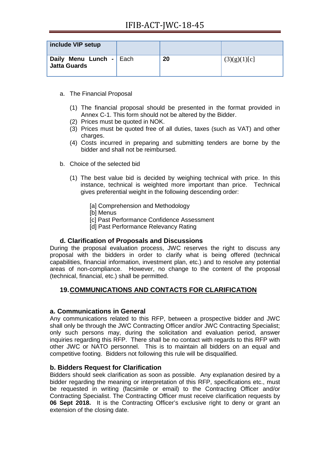# IFIB-ACT-JWC-18-45

| include VIP setup                              |    |              |
|------------------------------------------------|----|--------------|
| Daily Menu Lunch - Each<br><b>Jatta Guards</b> | 20 | (3)(g)(1)[c] |

- a. The Financial Proposal
	- (1) The financial proposal should be presented in the format provided in Annex C-1. This form should not be altered by the Bidder.
	- (2) Prices must be quoted in NOK.
	- (3) Prices must be quoted free of all duties, taxes (such as VAT) and other charges.
	- (4) Costs incurred in preparing and submitting tenders are borne by the bidder and shall not be reimbursed.
- b. Choice of the selected bid
	- (1) The best value bid is decided by weighing technical with price. In this instance, technical is weighted more important than price. Technical gives preferential weight in the following descending order:
		- [a] Comprehension and Methodology
		- [b] Menus
		- [c] Past Performance Confidence Assessment
		- [d] Past Performance Relevancy Rating

#### **d. Clarification of Proposals and Discussions**

During the proposal evaluation process, JWC reserves the right to discuss any proposal with the bidders in order to clarify what is being offered (technical capabilities, financial information, investment plan, etc.) and to resolve any potential areas of non-compliance. However, no change to the content of the proposal (technical, financial, etc.) shall be permitted.

#### **19.COMMUNICATIONS AND CONTACTS FOR CLARIFICATION**

#### **a. Communications in General**

Any communications related to this RFP, between a prospective bidder and JWC shall only be through the JWC Contracting Officer and/or JWC Contracting Specialist; only such persons may, during the solicitation and evaluation period, answer inquiries regarding this RFP. There shall be no contact with regards to this RFP with other JWC or NATO personnel. This is to maintain all bidders on an equal and competitive footing. Bidders not following this rule will be disqualified.

#### **b. Bidders Request for Clarification**

Bidders should seek clarification as soon as possible. Any explanation desired by a bidder regarding the meaning or interpretation of this RFP, specifications etc., must be requested in writing (facsimile or email) to the Contracting Officer and/or Contracting Specialist. The Contracting Officer must receive clarification requests by **06 Sept 2018.** It is the Contracting Officer's exclusive right to deny or grant an extension of the closing date.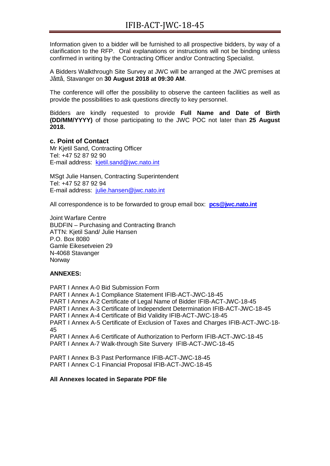Information given to a bidder will be furnished to all prospective bidders, by way of a clarification to the RFP. Oral explanations or instructions will not be binding unless confirmed in writing by the Contracting Officer and/or Contracting Specialist.

A Bidders Walkthrough Site Survey at JWC will be arranged at the JWC premises at Jåttå, Stavanger on **30 August 2018 at 09:30 AM**.

The conference will offer the possibility to observe the canteen facilities as well as provide the possibilities to ask questions directly to key personnel.

Bidders are kindly requested to provide **Full Name and Date of Birth (DD/MM/YYYY)** of those participating to the JWC POC not later than **25 August 2018.**

#### **c. Point of Contact**

Mr Kjetil Sand, Contracting Officer Tel: +47 52 87 92 90 E-mail address: [kjetil.sand@jwc.nato.int](mailto:kjetil.sand@jwc.nato.int)

MSgt Julie Hansen, Contracting Superintendent Tel: +47 52 87 92 94 E-mail address: [julie.hansen@jwc.nato.int](mailto:julie.hansen@jwc.nato.int)

All correspondence is to be forwarded to group email box: **[pcs@jwc.nato.int](mailto:pcs@jwc.nato.int)** 

Joint Warfare Centre BUDFIN – Purchasing and Contracting Branch ATTN: Kjetil Sand/ Julie Hansen P.O. Box 8080 Gamle Eikesetveien 29 N-4068 Stavanger **Norway** 

#### **ANNEXES:**

PART I Annex A-0 Bid Submission Form PART I Annex A-1 Compliance Statement IFIB-ACT-JWC-18-45 PART I Annex A-2 Certificate of Legal Name of Bidder IFIB-ACT-JWC-18-45 PART I Annex A-3 Certificate of Independent Determination IFIB-ACT-JWC-18-45 PART I Annex A-4 Certificate of Bid Validity IFIB-ACT-JWC-18-45 PART I Annex A-5 Certificate of Exclusion of Taxes and Charges IFIB-ACT-JWC-18- 45 PART I Annex A-6 Certificate of Authorization to Perform IFIB-ACT-JWC-18-45 PART I Annex A-7 Walk-through Site Survery IFIB-ACT-JWC-18-45

PART I Annex B-3 Past Performance IFIB-ACT-JWC-18-45 PART I Annex C-1 Financial Proposal IFIB-ACT-JWC-18-45

#### **All Annexes located in Separate PDF file**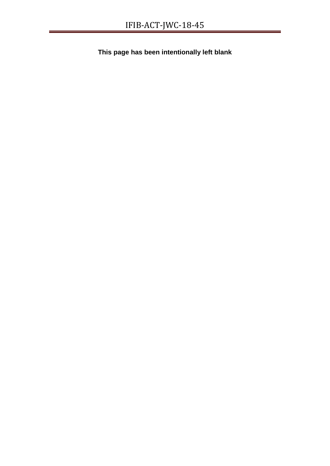**This page has been intentionally left blank**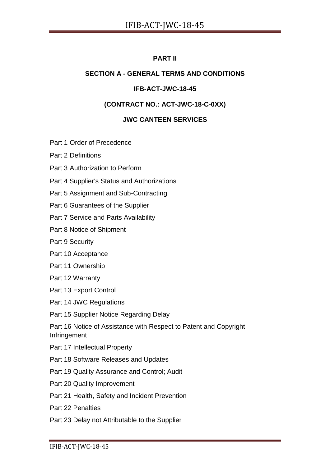# **PART II**

# **SECTION A - GENERAL TERMS AND CONDITIONS**

# **IFB-ACT-JWC-18-45**

# **(CONTRACT NO.: ACT-JWC-18-C-0XX)**

# **JWC CANTEEN SERVICES**

- Part 1 Order of Precedence
- Part 2 Definitions
- Part 3 Authorization to Perform
- Part 4 Supplier's Status and Authorizations

Part 5 Assignment and Sub-Contracting

Part 6 Guarantees of the Supplier

Part 7 Service and Parts Availability

Part 8 Notice of Shipment

Part 9 Security

Part 10 Acceptance

Part 11 Ownership

Part 12 Warranty

Part 13 Export Control

Part 14 JWC Regulations

Part 15 Supplier Notice Regarding Delay

Part 16 Notice of Assistance with Respect to Patent and Copyright Infringement

Part 17 Intellectual Property

Part 18 Software Releases and Updates

Part 19 Quality Assurance and Control; Audit

Part 20 Quality Improvement

Part 21 Health, Safety and Incident Prevention

Part 22 Penalties

Part 23 Delay not Attributable to the Supplier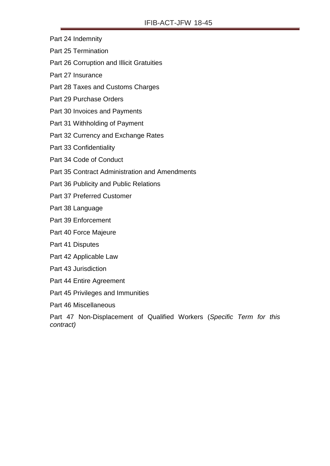- Part 24 Indemnity
- Part 25 Termination
- Part 26 Corruption and Illicit Gratuities
- Part 27 Insurance
- Part 28 Taxes and Customs Charges
- Part 29 Purchase Orders
- Part 30 Invoices and Payments
- Part 31 Withholding of Payment
- Part 32 Currency and Exchange Rates
- Part 33 Confidentiality
- Part 34 Code of Conduct
- Part 35 Contract Administration and Amendments
- Part 36 Publicity and Public Relations
- Part 37 Preferred Customer
- Part 38 Language
- Part 39 Enforcement
- Part 40 Force Majeure
- Part 41 Disputes
- Part 42 Applicable Law
- Part 43 Jurisdiction
- Part 44 Entire Agreement
- Part 45 Privileges and Immunities
- Part 46 Miscellaneous
- Part 47 Non-Displacement of Qualified Workers (*Specific Term for this contract)*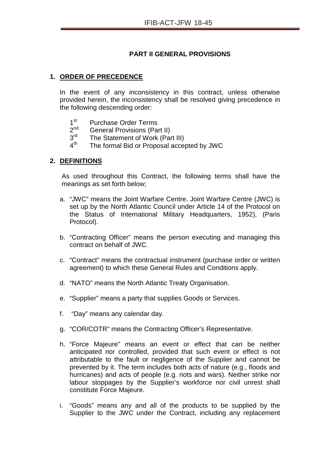# **PART II GENERAL PROVISIONS**

#### **1. ORDER OF PRECEDENCE**

In the event of any inconsistency in this contract, unless otherwise provided herein, the inconsistency shall be resolved giving precedence in the following descending order:

- 1<sup>st</sup> Purchase Order Terms<br>2<sup>nd</sup> General Provisions (Par
- $2<sup>nd</sup>$  General Provisions (Part II)<br> $3<sup>rd</sup>$  The Statement of Work (Part
- $3<sup>rd</sup>$  The Statement of Work (Part III)<br> $4<sup>th</sup>$  The formal Bid or Proposal acce
- The formal Bid or Proposal accepted by JWC

#### **2. DEFINITIONS**

As used throughout this Contract, the following terms shall have the meanings as set forth below;

- a. "JWC" means the Joint Warfare Centre. Joint Warfare Centre (JWC) is set up by the North Atlantic Council under Article 14 of the Protocol on the Status of International Military Headquarters, 1952), (Paris Protocol).
- b. "Contracting Officer" means the person executing and managing this contract on behalf of JWC.
- c. "Contract" means the contractual instrument (purchase order or written agreement) to which these General Rules and Conditions apply.
- d. "NATO" means the North Atlantic Treaty Organisation.
- e. "Supplier" means a party that supplies Goods or Services.
- f. "Day" means any calendar day.
- g. "COR/COTR" means the Contracting Officer's Representative.
- h. "Force Majeure" means an event or effect that can be neither anticipated nor controlled, provided that such event or effect is not attributable to the fault or negligence of the Supplier and cannot be prevented by it. The term includes both acts of nature (e.g., floods and hurricanes) and acts of people (e.g. riots and wars). Neither strike nor labour stoppages by the Supplier's workforce nor civil unrest shall constitute Force Majeure.
- i. "Goods" means any and all of the products to be supplied by the Supplier to the JWC under the Contract, including any replacement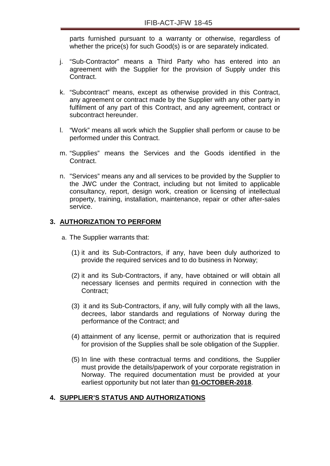parts furnished pursuant to a warranty or otherwise, regardless of whether the price(s) for such Good(s) is or are separately indicated.

- j. "Sub-Contractor" means a Third Party who has entered into an agreement with the Supplier for the provision of Supply under this Contract.
- k. "Subcontract" means, except as otherwise provided in this Contract, any agreement or contract made by the Supplier with any other party in fulfilment of any part of this Contract, and any agreement, contract or subcontract hereunder.
- l. "Work" means all work which the Supplier shall perform or cause to be performed under this Contract.
- m. "Supplies" means the Services and the Goods identified in the Contract.
- n. "Services" means any and all services to be provided by the Supplier to the JWC under the Contract, including but not limited to applicable consultancy, report, design work, creation or licensing of intellectual property, training, installation, maintenance, repair or other after-sales service.

# **3. AUTHORIZATION TO PERFORM**

- a. The Supplier warrants that:
	- (1) it and its Sub-Contractors, if any, have been duly authorized to provide the required services and to do business in Norway;
	- (2) it and its Sub-Contractors, if any, have obtained or will obtain all necessary licenses and permits required in connection with the Contract;
	- (3) it and its Sub-Contractors, if any, will fully comply with all the laws, decrees, labor standards and regulations of Norway during the performance of the Contract; and
	- (4) attainment of any license, permit or authorization that is required for provision of the Supplies shall be sole obligation of the Supplier.
	- (5) In line with these contractual terms and conditions, the Supplier must provide the details/paperwork of your corporate registration in Norway. The required documentation must be provided at your earliest opportunity but not later than **01-OCTOBER-2018**.

#### **4. SUPPLIER'S STATUS AND AUTHORIZATIONS**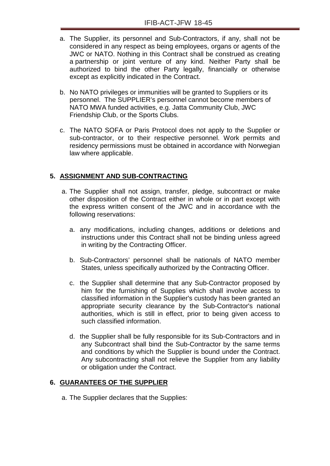- a. The Supplier, its personnel and Sub-Contractors, if any, shall not be considered in any respect as being employees, organs or agents of the JWC or NATO. Nothing in this Contract shall be construed as creating a partnership or joint venture of any kind. Neither Party shall be authorized to bind the other Party legally, financially or otherwise except as explicitly indicated in the Contract.
- b. No NATO privileges or immunities will be granted to Suppliers or its personnel. The SUPPLIER's personnel cannot become members of NATO MWA funded activities, e.g. Jatta Community Club, JWC Friendship Club, or the Sports Clubs.
- c. The NATO SOFA or Paris Protocol does not apply to the Supplier or sub-contractor, or to their respective personnel. Work permits and residency permissions must be obtained in accordance with Norwegian law where applicable.

# **5. ASSIGNMENT AND SUB-CONTRACTING**

- a. The Supplier shall not assign, transfer, pledge, subcontract or make other disposition of the Contract either in whole or in part except with the express written consent of the JWC and in accordance with the following reservations:
	- a. any modifications, including changes, additions or deletions and instructions under this Contract shall not be binding unless agreed in writing by the Contracting Officer.
	- b. Sub-Contractors' personnel shall be nationals of NATO member States, unless specifically authorized by the Contracting Officer.
	- c. the Supplier shall determine that any Sub-Contractor proposed by him for the furnishing of Supplies which shall involve access to classified information in the Supplier's custody has been granted an appropriate security clearance by the Sub-Contractor's national authorities, which is still in effect, prior to being given access to such classified information.
	- d. the Supplier shall be fully responsible for its Sub-Contractors and in any Subcontract shall bind the Sub-Contractor by the same terms and conditions by which the Supplier is bound under the Contract. Any subcontracting shall not relieve the Supplier from any liability or obligation under the Contract.

# **6. GUARANTEES OF THE SUPPLIER**

a. The Supplier declares that the Supplies: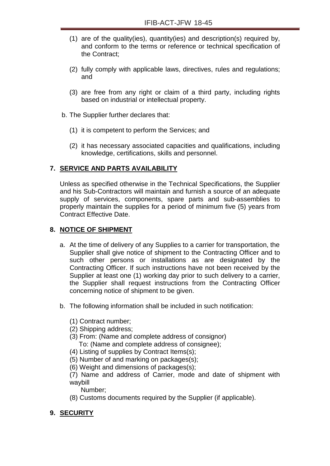- (1) are of the quality(ies), quantity(ies) and description(s) required by, and conform to the terms or reference or technical specification of the Contract;
- (2) fully comply with applicable laws, directives, rules and regulations; and
- (3) are free from any right or claim of a third party, including rights based on industrial or intellectual property.
- b. The Supplier further declares that:
	- (1) it is competent to perform the Services; and
	- (2) it has necessary associated capacities and qualifications, including knowledge, certifications, skills and personnel.

# **7. SERVICE AND PARTS AVAILABILITY**

Unless as specified otherwise in the Technical Specifications, the Supplier and his Sub-Contractors will maintain and furnish a source of an adequate supply of services, components, spare parts and sub-assemblies to properly maintain the supplies for a period of minimum five (5) years from Contract Effective Date.

#### **8. NOTICE OF SHIPMENT**

- a. At the time of delivery of any Supplies to a carrier for transportation, the Supplier shall give notice of shipment to the Contracting Officer and to such other persons or installations as are designated by the Contracting Officer. If such instructions have not been received by the Supplier at least one (1) working day prior to such delivery to a carrier, the Supplier shall request instructions from the Contracting Officer concerning notice of shipment to be given.
- b. The following information shall be included in such notification:
	- (1) Contract number;
	- (2) Shipping address;
	- (3) From: (Name and complete address of consignor)
		- To: (Name and complete address of consignee);
	- (4) Listing of supplies by Contract Items(s);
	- (5) Number of and marking on packages(s);
	- (6) Weight and dimensions of packages(s);
	- (7) Name and address of Carrier, mode and date of shipment with waybill

Number;

(8) Customs documents required by the Supplier (if applicable).

# **9. SECURITY**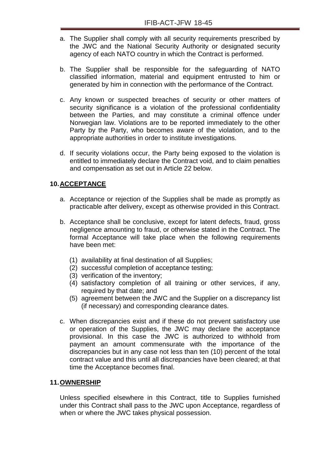- a. The Supplier shall comply with all security requirements prescribed by the JWC and the National Security Authority or designated security agency of each NATO country in which the Contract is performed.
- b. The Supplier shall be responsible for the safeguarding of NATO classified information, material and equipment entrusted to him or generated by him in connection with the performance of the Contract.
- c. Any known or suspected breaches of security or other matters of security significance is a violation of the professional confidentiality between the Parties, and may constitute a criminal offence under Norwegian law. Violations are to be reported immediately to the other Party by the Party, who becomes aware of the violation, and to the appropriate authorities in order to institute investigations.
- d. If security violations occur, the Party being exposed to the violation is entitled to immediately declare the Contract void, and to claim penalties and compensation as set out in Article 22 below.

# **10.ACCEPTANCE**

- a. Acceptance or rejection of the Supplies shall be made as promptly as practicable after delivery, except as otherwise provided in this Contract.
- b. Acceptance shall be conclusive, except for latent defects, fraud, gross negligence amounting to fraud, or otherwise stated in the Contract. The formal Acceptance will take place when the following requirements have been met:
	- (1) availability at final destination of all Supplies;
	- (2) successful completion of acceptance testing;
	- (3) verification of the inventory;
	- (4) satisfactory completion of all training or other services, if any, required by that date; and
	- (5) agreement between the JWC and the Supplier on a discrepancy list (if necessary) and corresponding clearance dates.
- c. When discrepancies exist and if these do not prevent satisfactory use or operation of the Supplies, the JWC may declare the acceptance provisional. In this case the JWC is authorized to withhold from payment an amount commensurate with the importance of the discrepancies but in any case not less than ten (10) percent of the total contract value and this until all discrepancies have been cleared; at that time the Acceptance becomes final.

#### **11.OWNERSHIP**

Unless specified elsewhere in this Contract, title to Supplies furnished under this Contract shall pass to the JWC upon Acceptance, regardless of when or where the JWC takes physical possession.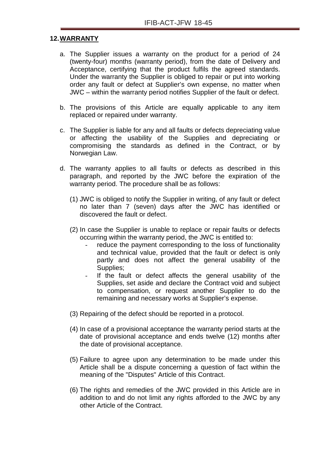# **12.WARRANTY**

- a. The Supplier issues a warranty on the product for a period of 24 (twenty-four) months (warranty period), from the date of Delivery and Acceptance, certifying that the product fulfils the agreed standards. Under the warranty the Supplier is obliged to repair or put into working order any fault or defect at Supplier's own expense, no matter when JWC – within the warranty period notifies Supplier of the fault or defect.
- b. The provisions of this Article are equally applicable to any item replaced or repaired under warranty.
- c. The Supplier is liable for any and all faults or defects depreciating value or affecting the usability of the Supplies and depreciating or compromising the standards as defined in the Contract, or by Norwegian Law.
- d. The warranty applies to all faults or defects as described in this paragraph, and reported by the JWC before the expiration of the warranty period. The procedure shall be as follows:
	- (1) JWC is obliged to notify the Supplier in writing, of any fault or defect no later than 7 (seven) days after the JWC has identified or discovered the fault or defect.
	- (2) In case the Supplier is unable to replace or repair faults or defects occurring within the warranty period, the JWC is entitled to:
		- reduce the payment corresponding to the loss of functionality and technical value, provided that the fault or defect is only partly and does not affect the general usability of the Supplies;
		- If the fault or defect affects the general usability of the Supplies, set aside and declare the Contract void and subject to compensation, or request another Supplier to do the remaining and necessary works at Supplier's expense.
	- (3) Repairing of the defect should be reported in a protocol.
	- (4) In case of a provisional acceptance the warranty period starts at the date of provisional acceptance and ends twelve (12) months after the date of provisional acceptance.
	- (5) Failure to agree upon any determination to be made under this Article shall be a dispute concerning a question of fact within the meaning of the "Disputes" Article of this Contract.
	- (6) The rights and remedies of the JWC provided in this Article are in addition to and do not limit any rights afforded to the JWC by any other Article of the Contract.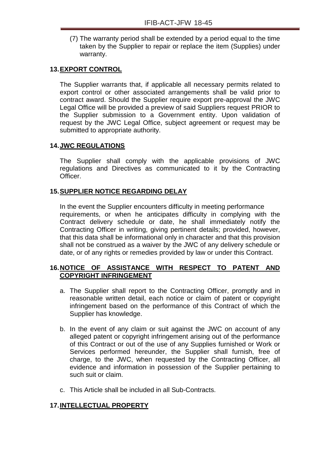(7) The warranty period shall be extended by a period equal to the time taken by the Supplier to repair or replace the item (Supplies) under warranty.

# **13.EXPORT CONTROL**

The Supplier warrants that, if applicable all necessary permits related to export control or other associated arrangements shall be valid prior to contract award. Should the Supplier require export pre-approval the JWC Legal Office will be provided a preview of said Suppliers request PRIOR to the Supplier submission to a Government entity. Upon validation of request by the JWC Legal Office, subject agreement or request may be submitted to appropriate authority.

#### **14.JWC REGULATIONS**

The Supplier shall comply with the applicable provisions of JWC regulations and Directives as communicated to it by the Contracting Officer.

#### **15.SUPPLIER NOTICE REGARDING DELAY**

In the event the Supplier encounters difficulty in meeting performance requirements, or when he anticipates difficulty in complying with the Contract delivery schedule or date, he shall immediately notify the Contracting Officer in writing, giving pertinent details; provided, however, that this data shall be informational only in character and that this provision shall not be construed as a waiver by the JWC of any delivery schedule or date, or of any rights or remedies provided by law or under this Contract.

# **16.NOTICE OF ASSISTANCE WITH RESPECT TO PATENT AND COPYRIGHT INFRINGEMENT**

- a. The Supplier shall report to the Contracting Officer, promptly and in reasonable written detail, each notice or claim of patent or copyright infringement based on the performance of this Contract of which the Supplier has knowledge.
- b. In the event of any claim or suit against the JWC on account of any alleged patent or copyright infringement arising out of the performance of this Contract or out of the use of any Supplies furnished or Work or Services performed hereunder, the Supplier shall furnish, free of charge, to the JWC, when requested by the Contracting Officer, all evidence and information in possession of the Supplier pertaining to such suit or claim.
- c. This Article shall be included in all Sub-Contracts.

# **17.INTELLECTUAL PROPERTY**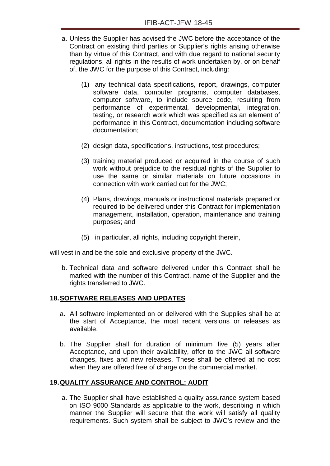- a. Unless the Supplier has advised the JWC before the acceptance of the Contract on existing third parties or Supplier's rights arising otherwise than by virtue of this Contract, and with due regard to national security regulations, all rights in the results of work undertaken by, or on behalf of, the JWC for the purpose of this Contract, including:
	- (1) any technical data specifications, report, drawings, computer software data, computer programs, computer databases, computer software, to include source code, resulting from performance of experimental, developmental, integration, testing, or research work which was specified as an element of performance in this Contract, documentation including software documentation;
	- (2) design data, specifications, instructions, test procedures;
	- (3) training material produced or acquired in the course of such work without prejudice to the residual rights of the Supplier to use the same or similar materials on future occasions in connection with work carried out for the JWC;
	- (4) Plans, drawings, manuals or instructional materials prepared or required to be delivered under this Contract for implementation management, installation, operation, maintenance and training purposes; and
	- (5) in particular, all rights, including copyright therein,

will vest in and be the sole and exclusive property of the JWC.

b. Technical data and software delivered under this Contract shall be marked with the number of this Contract, name of the Supplier and the rights transferred to JWC.

# **18.SOFTWARE RELEASES AND UPDATES**

- a. All software implemented on or delivered with the Supplies shall be at the start of Acceptance, the most recent versions or releases as available.
- b. The Supplier shall for duration of minimum five (5) years after Acceptance, and upon their availability, offer to the JWC all software changes, fixes and new releases. These shall be offered at no cost when they are offered free of charge on the commercial market.

# **19.QUALITY ASSURANCE AND CONTROL; AUDIT**

a. The Supplier shall have established a quality assurance system based on ISO 9000 Standards as applicable to the work, describing in which manner the Supplier will secure that the work will satisfy all quality requirements. Such system shall be subject to JWC's review and the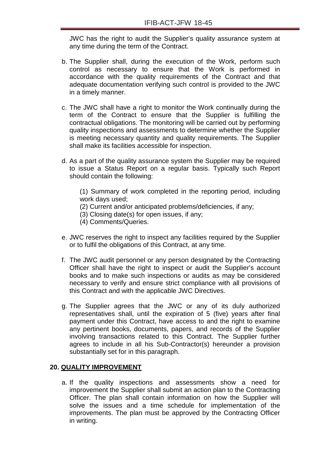JWC has the right to audit the Supplier's quality assurance system at any time during the term of the Contract.

- b. The Supplier shall, during the execution of the Work, perform such control as necessary to ensure that the Work is performed in accordance with the quality requirements of the Contract and that adequate documentation verifying such control is provided to the JWC in a timely manner.
- c. The JWC shall have a right to monitor the Work continually during the term of the Contract to ensure that the Supplier is fulfilling the contractual obligations. The monitoring will be carried out by performing quality inspections and assessments to determine whether the Supplier is meeting necessary quantity and quality requirements. The Supplier shall make its facilities accessible for inspection.
- d. As a part of the quality assurance system the Supplier may be required to issue a Status Report on a regular basis. Typically such Report should contain the following:

(1) Summary of work completed in the reporting period, including work days used;

- (2) Current and/or anticipated problems/deficiencies, if any;
- (3) Closing date(s) for open issues, if any;
- (4) Comments/Queries.
- e. JWC reserves the right to inspect any facilities required by the Supplier or to fulfil the obligations of this Contract, at any time.
- f. The JWC audit personnel or any person designated by the Contracting Officer shall have the right to inspect or audit the Supplier's account books and to make such inspections or audits as may be considered necessary to verify and ensure strict compliance with all provisions of this Contract and with the applicable JWC Directives.
- g. The Supplier agrees that the JWC or any of its duly authorized representatives shall, until the expiration of 5 (five) years after final payment under this Contract, have access to and the right to examine any pertinent books, documents, papers, and records of the Supplier involving transactions related to this Contract. The Supplier further agrees to include in all his Sub-Contractor(s) hereunder a provision substantially set for in this paragraph.

#### **20. QUALITY IMPROVEMENT**

a. If the quality inspections and assessments show a need for improvement the Supplier shall submit an action plan to the Contracting Officer. The plan shall contain information on how the Supplier will solve the issues and a time schedule for implementation of the improvements. The plan must be approved by the Contracting Officer in writing.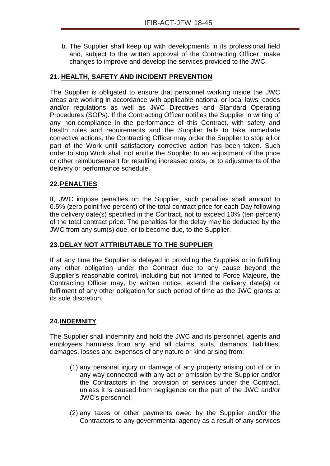b. The Supplier shall keep up with developments in its professional field and, subject to the written approval of the Contracting Officer, make changes to improve and develop the services provided to the JWC.

# **21. HEALTH, SAFETY AND INCIDENT PREVENTION**

The Supplier is obligated to ensure that personnel working inside the JWC areas are working in accordance with applicable national or local laws, codes and/or regulations as well as JWC Directives and Standard Operating Procedures (SOPs). If the Contracting Officer notifies the Supplier in writing of any non-compliance in the performance of this Contract, with safety and health rules and requirements and the Supplier fails to take immediate corrective actions, the Contracting Officer may order the Supplier to stop all or part of the Work until satisfactory corrective action has been taken. Such order to stop Work shall not entitle the Supplier to an adjustment of the price or other reimbursement for resulting increased costs, or to adjustments of the delivery or performance schedule.

# <span id="page-27-0"></span>**22.PENALTIES**

If, JWC impose penalties on the Supplier, such penalties shall amount to 0.5% (zero point five percent) of the total contract price for each Day following the delivery date(s) specified in the Contract, not to exceed 10% (ten percent) of the total contract price. The penalties for the delay may be deducted by the JWC from any sum(s) due, or to become due, to the Supplier.

# **23.DELAY NOT ATTRIBUTABLE TO THE SUPPLIER**

If at any time the Supplier is delayed in providing the Supplies or in fulfilling any other obligation under the Contract due to any cause beyond the Supplier's reasonable control, including but not limited to Force Majeure, the Contracting Officer may, by written notice, extend the delivery date(s) or fulfilment of any other obligation for such period of time as the JWC grants at its sole discretion.

#### **24.INDEMNITY**

The Supplier shall indemnify and hold the JWC and its personnel, agents and employees harmless from any and all claims, suits, demands, liabilities, damages, losses and expenses of any nature or kind arising from:

- (1) any personal injury or damage of any property arising out of or in any way connected with any act or omission by the Supplier and/or the Contractors in the provision of services under the Contract, unless it is caused from negligence on the part of the JWC and/or JWC's personnel;
- (2) any taxes or other payments owed by the Supplier and/or the Contractors to any governmental agency as a result of any services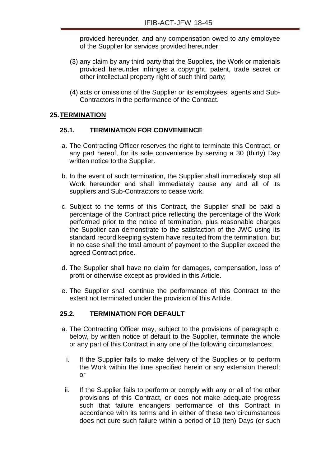provided hereunder, and any compensation owed to any employee of the Supplier for services provided hereunder;

- (3) any claim by any third party that the Supplies, the Work or materials provided hereunder infringes a copyright, patent, trade secret or other intellectual property right of such third party;
- (4) acts or omissions of the Supplier or its employees, agents and Sub-Contractors in the performance of the Contract.

#### **25.TERMINATION**

# **25.1. TERMINATION FOR CONVENIENCE**

- a. The Contracting Officer reserves the right to terminate this Contract, or any part hereof, for its sole convenience by serving a 30 (thirty) Day written notice to the Supplier.
- b. In the event of such termination, the Supplier shall immediately stop all Work hereunder and shall immediately cause any and all of its suppliers and Sub-Contractors to cease work.
- c. Subject to the terms of this Contract, the Supplier shall be paid a percentage of the Contract price reflecting the percentage of the Work performed prior to the notice of termination, plus reasonable charges the Supplier can demonstrate to the satisfaction of the JWC using its standard record keeping system have resulted from the termination, but in no case shall the total amount of payment to the Supplier exceed the agreed Contract price.
- d. The Supplier shall have no claim for damages, compensation, loss of profit or otherwise except as provided in this Article.
- e. The Supplier shall continue the performance of this Contract to the extent not terminated under the provision of this Article.

#### **25.2. TERMINATION FOR DEFAULT**

- a. The Contracting Officer may, subject to the provisions of paragraph c. below, by written notice of default to the Supplier, terminate the whole or any part of this Contract in any one of the following circumstances:
	- i. If the Supplier fails to make delivery of the Supplies or to perform the Work within the time specified herein or any extension thereof; or
	- ii. If the Supplier fails to perform or comply with any or all of the other provisions of this Contract, or does not make adequate progress such that failure endangers performance of this Contract in accordance with its terms and in either of these two circumstances does not cure such failure within a period of 10 (ten) Days (or such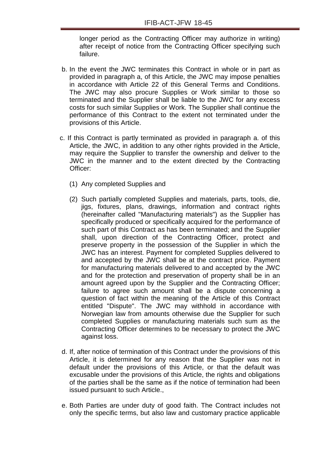longer period as the Contracting Officer may authorize in writing) after receipt of notice from the Contracting Officer specifying such failure.

- b. In the event the JWC terminates this Contract in whole or in part as provided in paragraph a, of this Article, the JWC may impose penalties in accordance with Article [22](#page-27-0) of this General Terms and Conditions. The JWC may also procure Supplies or Work similar to those so terminated and the Supplier shall be liable to the JWC for any excess costs for such similar Supplies or Work. The Supplier shall continue the performance of this Contract to the extent not terminated under the provisions of this Article.
- c. If this Contract is partly terminated as provided in paragraph a. of this Article, the JWC, in addition to any other rights provided in the Article, may require the Supplier to transfer the ownership and deliver to the JWC in the manner and to the extent directed by the Contracting Officer:
	- (1) Any completed Supplies and
	- (2) Such partially completed Supplies and materials, parts, tools, die, jigs, fixtures, plans, drawings, information and contract rights (hereinafter called "Manufacturing materials") as the Supplier has specifically produced or specifically acquired for the performance of such part of this Contract as has been terminated; and the Supplier shall, upon direction of the Contracting Officer, protect and preserve property in the possession of the Supplier in which the JWC has an interest. Payment for completed Supplies delivered to and accepted by the JWC shall be at the contract price. Payment for manufacturing materials delivered to and accepted by the JWC and for the protection and preservation of property shall be in an amount agreed upon by the Supplier and the Contracting Officer; failure to agree such amount shall be a dispute concerning a question of fact within the meaning of the Article of this Contract entitled "Dispute". The JWC may withhold in accordance with Norwegian law from amounts otherwise due the Supplier for such completed Supplies or manufacturing materials such sum as the Contracting Officer determines to be necessary to protect the JWC against loss.
- d. If, after notice of termination of this Contract under the provisions of this Article, it is determined for any reason that the Supplier was not in default under the provisions of this Article, or that the default was excusable under the provisions of this Article, the rights and obligations of the parties shall be the same as if the notice of termination had been issued pursuant to such Article.,
- e. Both Parties are under duty of good faith. The Contract includes not only the specific terms, but also law and customary practice applicable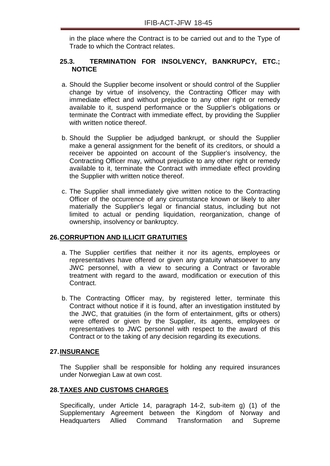in the place where the Contract is to be carried out and to the Type of Trade to which the Contract relates.

# **25.3. TERMINATION FOR INSOLVENCY, BANKRUPCY, ETC.; NOTICE**

- a. Should the Supplier become insolvent or should control of the Supplier change by virtue of insolvency, the Contracting Officer may with immediate effect and without prejudice to any other right or remedy available to it, suspend performance or the Supplier's obligations or terminate the Contract with immediate effect, by providing the Supplier with written notice thereof.
- b. Should the Supplier be adjudged bankrupt, or should the Supplier make a general assignment for the benefit of its creditors, or should a receiver be appointed on account of the Supplier's insolvency, the Contracting Officer may, without prejudice to any other right or remedy available to it, terminate the Contract with immediate effect providing the Supplier with written notice thereof.
- c. The Supplier shall immediately give written notice to the Contracting Officer of the occurrence of any circumstance known or likely to alter materially the Supplier's legal or financial status, including but not limited to actual or pending liquidation, reorganization, change of ownership, insolvency or bankruptcy.

# **26.CORRUPTION AND ILLICIT GRATUITIES**

- a. The Supplier certifies that neither it nor its agents, employees or representatives have offered or given any gratuity whatsoever to any JWC personnel, with a view to securing a Contract or favorable treatment with regard to the award, modification or execution of this Contract.
- b. The Contracting Officer may, by registered letter, terminate this Contract without notice if it is found, after an investigation instituted by the JWC, that gratuities (in the form of entertainment, gifts or others) were offered or given by the Supplier, its agents, employees or representatives to JWC personnel with respect to the award of this Contract or to the taking of any decision regarding its executions.

# **27.INSURANCE**

The Supplier shall be responsible for holding any required insurances under Norwegian Law at own cost.

#### **28.TAXES AND CUSTOMS CHARGES**

Specifically, under Article 14, paragraph 14-2, sub-item g) (1) of the Supplementary Agreement between the Kingdom of Norway and Headquarters Allied Command Transformation and Supreme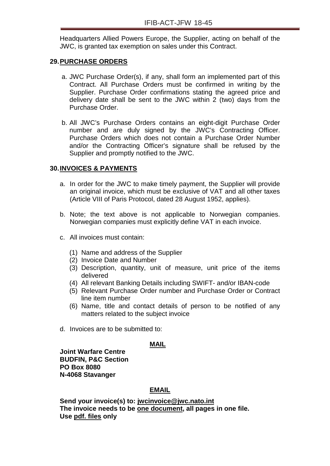Headquarters Allied Powers Europe, the Supplier, acting on behalf of the JWC, is granted tax exemption on sales under this Contract.

#### **29.PURCHASE ORDERS**

- a. JWC Purchase Order(s), if any, shall form an implemented part of this Contract. All Purchase Orders must be confirmed in writing by the Supplier. Purchase Order confirmations stating the agreed price and delivery date shall be sent to the JWC within 2 (two) days from the Purchase Order.
- b. All JWC's Purchase Orders contains an eight-digit Purchase Order number and are duly signed by the JWC's Contracting Officer. Purchase Orders which does not contain a Purchase Order Number and/or the Contracting Officer's signature shall be refused by the Supplier and promptly notified to the JWC.

# **30.INVOICES & PAYMENTS**

- a. In order for the JWC to make timely payment, the Supplier will provide an original invoice, which must be exclusive of VAT and all other taxes (Article VIII of Paris Protocol, dated 28 August 1952, applies).
- b. Note; the text above is not applicable to Norwegian companies. Norwegian companies must explicitly define VAT in each invoice.
- c. All invoices must contain:
	- (1) Name and address of the Supplier
	- (2) Invoice Date and Number
	- (3) Description, quantity, unit of measure, unit price of the items delivered
	- (4) All relevant Banking Details including SWIFT- and/or IBAN-code
	- (5) Relevant Purchase Order number and Purchase Order or Contract line item number
	- (6) Name, title and contact details of person to be notified of any matters related to the subject invoice
- d. Invoices are to be submitted to:

#### **MAIL**

**Joint Warfare Centre BUDFIN, P&C Section PO Box 8080 N-4068 Stavanger**

#### **EMAIL**

**Send your invoice(s) to: jw[cinvoice@jwc.nato.int](mailto:invoice@jwc.nato.int) The invoice needs to be one document, all pages in one file. Use pdf. files only**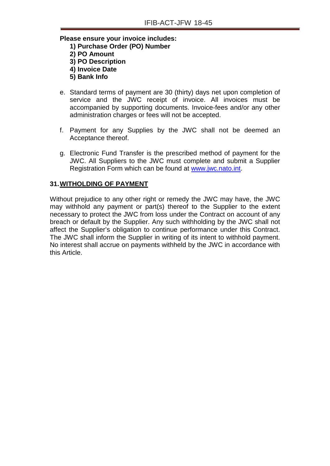# **Please ensure your invoice includes:**

- **1) Purchase Order (PO) Number 2) PO Amount 3) PO Description 4) Invoice Date 5) Bank Info**
- e. Standard terms of payment are 30 (thirty) days net upon completion of service and the JWC receipt of invoice. All invoices must be accompanied by supporting documents. Invoice-fees and/or any other administration charges or fees will not be accepted.
- f. Payment for any Supplies by the JWC shall not be deemed an Acceptance thereof.
- g. Electronic Fund Transfer is the prescribed method of payment for the JWC. All Suppliers to the JWC must complete and submit a Supplier Registration Form which can be found at [www.jwc.nato.int.](http://www.jwc.nato.int/)

#### **31.WITHOLDING OF PAYMENT**

Without prejudice to any other right or remedy the JWC may have, the JWC may withhold any payment or part(s) thereof to the Supplier to the extent necessary to protect the JWC from loss under the Contract on account of any breach or default by the Supplier. Any such withholding by the JWC shall not affect the Supplier's obligation to continue performance under this Contract. The JWC shall inform the Supplier in writing of its intent to withhold payment. No interest shall accrue on payments withheld by the JWC in accordance with this Article.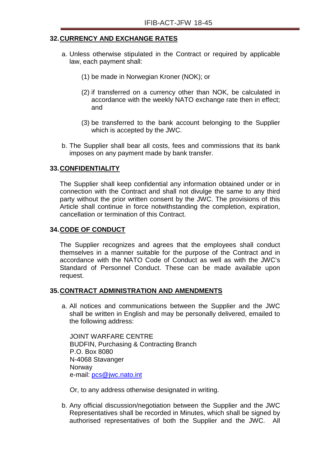#### **32.CURRENCY AND EXCHANGE RATES**

- a. Unless otherwise stipulated in the Contract or required by applicable law, each payment shall:
	- (1) be made in Norwegian Kroner (NOK); or
	- (2) if transferred on a currency other than NOK, be calculated in accordance with the weekly NATO exchange rate then in effect; and
	- (3) be transferred to the bank account belonging to the Supplier which is accepted by the JWC.
- b. The Supplier shall bear all costs, fees and commissions that its bank imposes on any payment made by bank transfer.

#### **33.CONFIDENTIALITY**

The Supplier shall keep confidential any information obtained under or in connection with the Contract and shall not divulge the same to any third party without the prior written consent by the JWC. The provisions of this Article shall continue in force notwithstanding the completion, expiration, cancellation or termination of this Contract.

#### **34.CODE OF CONDUCT**

The Supplier recognizes and agrees that the employees shall conduct themselves in a manner suitable for the purpose of the Contract and in accordance with the NATO Code of Conduct as well as with the JWC's Standard of Personnel Conduct. These can be made available upon request.

#### **35.CONTRACT ADMINISTRATION AND AMENDMENTS**

a. All notices and communications between the Supplier and the JWC shall be written in English and may be personally delivered, emailed to the following address:

JOINT WARFARE CENTRE BUDFIN, Purchasing & Contracting Branch P.O. Box 8080 N-4068 Stavanger **Norway** e-mail: [pcs@jwc.nato.int](mailto:pcs@jwc.nato.int)

Or, to any address otherwise designated in writing.

b. Any official discussion/negotiation between the Supplier and the JWC Representatives shall be recorded in Minutes, which shall be signed by authorised representatives of both the Supplier and the JWC. All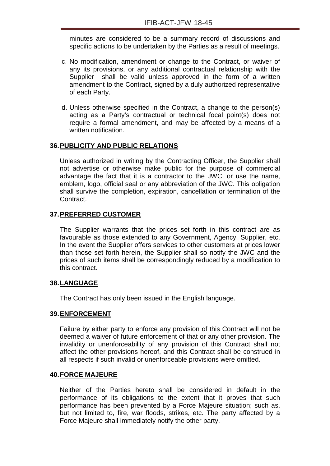minutes are considered to be a summary record of discussions and specific actions to be undertaken by the Parties as a result of meetings.

- c. No modification, amendment or change to the Contract, or waiver of any its provisions, or any additional contractual relationship with the Supplier shall be valid unless approved in the form of a written amendment to the Contract, signed by a duly authorized representative of each Party.
- d. Unless otherwise specified in the Contract, a change to the person(s) acting as a Party's contractual or technical focal point(s) does not require a formal amendment, and may be affected by a means of a written notification.

#### **36.PUBLICITY AND PUBLIC RELATIONS**

Unless authorized in writing by the Contracting Officer, the Supplier shall not advertise or otherwise make public for the purpose of commercial advantage the fact that it is a contractor to the JWC, or use the name, emblem, logo, official seal or any abbreviation of the JWC. This obligation shall survive the completion, expiration, cancellation or termination of the **Contract** 

#### **37.PREFERRED CUSTOMER**

The Supplier warrants that the prices set forth in this contract are as favourable as those extended to any Government, Agency, Supplier, etc. In the event the Supplier offers services to other customers at prices lower than those set forth herein, the Supplier shall so notify the JWC and the prices of such items shall be correspondingly reduced by a modification to this contract.

#### **38.LANGUAGE**

The Contract has only been issued in the English language.

#### **39.ENFORCEMENT**

Failure by either party to enforce any provision of this Contract will not be deemed a waiver of future enforcement of that or any other provision. The invalidity or unenforceability of any provision of this Contract shall not affect the other provisions hereof, and this Contract shall be construed in all respects if such invalid or unenforceable provisions were omitted.

#### **40.FORCE MAJEURE**

Neither of the Parties hereto shall be considered in default in the performance of its obligations to the extent that it proves that such performance has been prevented by a Force Majeure situation; such as, but not limited to, fire, war floods, strikes, etc. The party affected by a Force Majeure shall immediately notify the other party.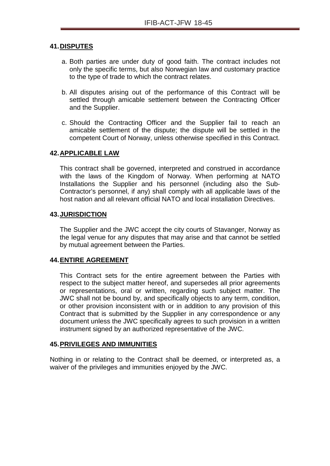#### **41.DISPUTES**

- a. Both parties are under duty of good faith. The contract includes not only the specific terms, but also Norwegian law and customary practice to the type of trade to which the contract relates.
- b. All disputes arising out of the performance of this Contract will be settled through amicable settlement between the Contracting Officer and the Supplier.
- c. Should the Contracting Officer and the Supplier fail to reach an amicable settlement of the dispute; the dispute will be settled in the competent Court of Norway, unless otherwise specified in this Contract.

#### **42.APPLICABLE LAW**

This contract shall be governed, interpreted and construed in accordance with the laws of the Kingdom of Norway. When performing at NATO Installations the Supplier and his personnel (including also the Sub-Contractor's personnel, if any) shall comply with all applicable laws of the host nation and all relevant official NATO and local installation Directives.

#### **43.JURISDICTION**

The Supplier and the JWC accept the city courts of Stavanger, Norway as the legal venue for any disputes that may arise and that cannot be settled by mutual agreement between the Parties.

#### **44.ENTIRE AGREEMENT**

This Contract sets for the entire agreement between the Parties with respect to the subject matter hereof, and supersedes all prior agreements or representations, oral or written, regarding such subject matter. The JWC shall not be bound by, and specifically objects to any term, condition, or other provision inconsistent with or in addition to any provision of this Contract that is submitted by the Supplier in any correspondence or any document unless the JWC specifically agrees to such provision in a written instrument signed by an authorized representative of the JWC.

#### **45.PRIVILEGES AND IMMUNITIES**

Nothing in or relating to the Contract shall be deemed, or interpreted as, a waiver of the privileges and immunities enjoyed by the JWC.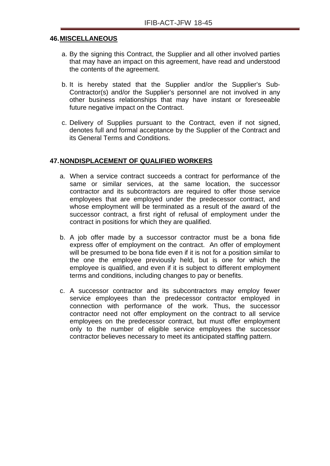#### **46.MISCELLANEOUS**

- a. By the signing this Contract, the Supplier and all other involved parties that may have an impact on this agreement, have read and understood the contents of the agreement.
- b. It is hereby stated that the Supplier and/or the Supplier's Sub-Contractor(s) and/or the Supplier's personnel are not involved in any other business relationships that may have instant or foreseeable future negative impact on the Contract.
- c. Delivery of Supplies pursuant to the Contract, even if not signed, denotes full and formal acceptance by the Supplier of the Contract and its General Terms and Conditions.

# **47.NONDISPLACEMENT OF QUALIFIED WORKERS**

- a. When a service contract succeeds a contract for performance of the same or similar services, at the same location, the successor contractor and its subcontractors are required to offer those service employees that are employed under the predecessor contract, and whose employment will be terminated as a result of the award of the successor contract, a first right of refusal of employment under the contract in positions for which they are qualified.
- b. A job offer made by a successor contractor must be a bona fide express offer of employment on the contract. An offer of employment will be presumed to be bona fide even if it is not for a position similar to the one the employee previously held, but is one for which the employee is qualified, and even if it is subject to different employment terms and conditions, including changes to pay or benefits.
- c. A successor contractor and its subcontractors may employ fewer service employees than the predecessor contractor employed in connection with performance of the work. Thus, the successor contractor need not offer employment on the contract to all service employees on the predecessor contract, but must offer employment only to the number of eligible service employees the successor contractor believes necessary to meet its anticipated staffing pattern.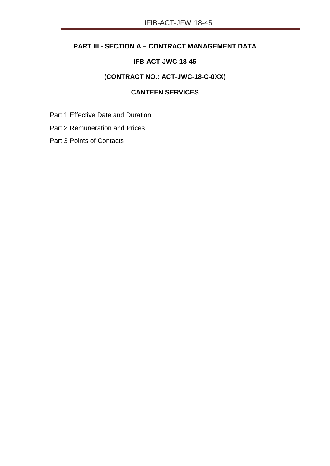# **PART III - SECTION A – CONTRACT MANAGEMENT DATA**

# **IFB-ACT-JWC-18-45**

# **(CONTRACT NO.: ACT-JWC-18-C-0XX)**

# **CANTEEN SERVICES**

Part 1 Effective Date and Duration

Part 2 Remuneration and Prices

Part 3 Points of Contacts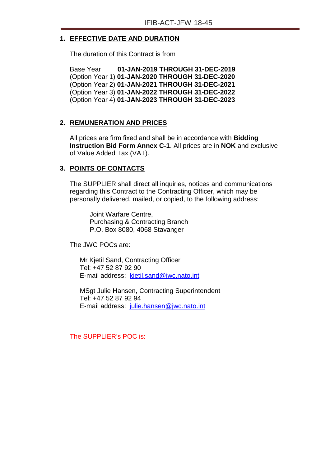# **1. EFFECTIVE DATE AND DURATION**

The duration of this Contract is from

Base Year **01-JAN-2019 THROUGH 31-DEC-2019**  (Option Year 1) **01-JAN-2020 THROUGH 31-DEC-2020** (Option Year 2) **01-JAN-2021 THROUGH 31-DEC-2021** (Option Year 3) **01-JAN-2022 THROUGH 31-DEC-2022** (Option Year 4) **01-JAN-2023 THROUGH 31-DEC-2023** 

# **2. REMUNERATION AND PRICES**

All prices are firm fixed and shall be in accordance with **Bidding Instruction Bid Form Annex C-1**. All prices are in **NOK** and exclusive of Value Added Tax (VAT).

# **3. POINTS OF CONTACTS**

The SUPPLIER shall direct all inquiries, notices and communications regarding this Contract to the Contracting Officer, which may be personally delivered, mailed, or copied, to the following address:

Joint Warfare Centre, Purchasing & Contracting Branch P.O. Box 8080, 4068 Stavanger

The JWC POCs are:

Mr Kjetil Sand, Contracting Officer Tel: +47 52 87 92 90 E-mail address: [kjetil.sand@jwc.nato.int](mailto:kjetil.sand@jwc.nato.int) 

MSgt Julie Hansen, Contracting Superintendent Tel: +47 52 87 92 94 E-mail address: [julie.hansen@jwc.nato.int](mailto:julie.hansen@jwc.nato.int)

The SUPPLIER's POC is: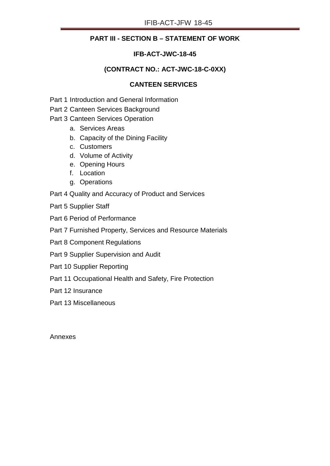# **PART III - SECTION B – STATEMENT OF WORK**

# **IFB-ACT-JWC-18-45**

# **(CONTRACT NO.: ACT-JWC-18-C-0XX)**

# **CANTEEN SERVICES**

Part 1 Introduction and General Information

- Part 2 Canteen Services Background
- Part 3 Canteen Services Operation
	- a. Services Areas
	- b. Capacity of the Dining Facility
	- c. Customers
	- d. Volume of Activity
	- e. Opening Hours
	- f. Location
	- g. Operations

Part 4 Quality and Accuracy of Product and Services

Part 5 Supplier Staff

Part 6 Period of Performance

Part 7 Furnished Property, Services and Resource Materials

Part 8 Component Regulations

Part 9 Supplier Supervision and Audit

- Part 10 Supplier Reporting
- Part 11 Occupational Health and Safety, Fire Protection

Part 12 Insurance

Part 13 Miscellaneous

Annexes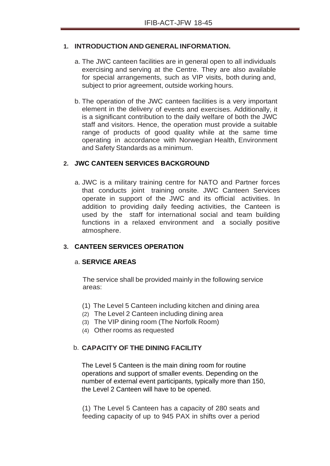# **1. INTRODUCTION AND GENERAL INFORMATION.**

- a. The JWC canteen facilities are in general open to all individuals exercising and serving at the Centre. They are also available for special arrangements, such as VIP visits, both during and, subject to prior agreement, outside working hours.
- b. The operation of the JWC canteen facilities is a very important element in the delivery of events and exercises. Additionally, it is a significant contribution to the daily welfare of both the JWC staff and visitors. Hence, the operation must provide a suitable range of products of good quality while at the same time operating in accordance with Norwegian Health, Environment and Safety Standards as a minimum.

# **2. JWC CANTEEN SERVICES BACKGROUND**

a. JWC is a military training centre for NATO and Partner forces that conducts joint training onsite. JWC Canteen Services operate in support of the JWC and its official activities. In addition to providing daily feeding activities, the Canteen is used by the staff for international social and team building functions in a relaxed environment and a socially positive atmosphere.

# **3. CANTEEN SERVICES OPERATION**

#### a. **SERVICE AREAS**

The service shall be provided mainly in the following service areas:

- (1) The Level 5 Canteen including kitchen and dining area
- (2) The Level 2 Canteen including dining area
- (3) The VIP dining room (The Norfolk Room)
- (4) Other rooms as requested

#### b. **CAPACITY OF THE DINING FACILITY**

The Level 5 Canteen is the main dining room for routine operations and support of smaller events. Depending on the number of external event participants, typically more than 150, the Level 2 Canteen will have to be opened.

(1) The Level 5 Canteen has a capacity of 280 seats and feeding capacity of up to 945 PAX in shifts over a period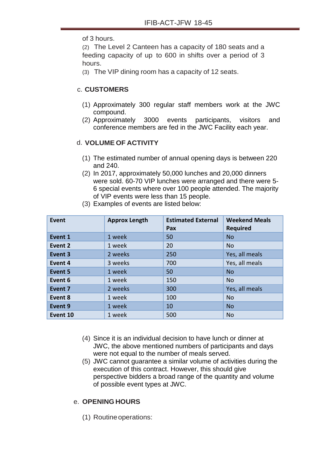of 3 hours.

(2) The Level 2 Canteen has a capacity of 180 seats and a feeding capacity of up to 600 in shifts over a period of 3 hours.

(3) The VIP dining room has a capacity of 12 seats.

# c. **CUSTOMERS**

- (1) Approximately 300 regular staff members work at the JWC compound.
- (2) Approximately 3000 events participants, visitors and conference members are fed in the JWC Facility each year.

# d. **VOLUME OF ACTIVITY**

- (1) The estimated number of annual opening days is between 220 and 240.
- (2) In 2017, approximately 50,000 lunches and 20,000 dinners were sold. 60-70 VIP lunches were arranged and there were 5- 6 special events where over 100 people attended. The majority of VIP events were less than 15 people.

| <b>Event</b> | <b>Approx Length</b> | <b>Estimated External</b> | <b>Weekend Meals</b> |
|--------------|----------------------|---------------------------|----------------------|
|              |                      | <b>Pax</b>                | <b>Required</b>      |
| Event 1      | 1 week               | 50                        | <b>No</b>            |
| Event 2      | 1 week               | 20                        | No.                  |
| Event 3      | 2 weeks              | 250                       | Yes, all meals       |
| Event 4      | 3 weeks              | 700                       | Yes, all meals       |
| Event 5      | 1 week               | 50                        | N <sub>o</sub>       |
| Event 6      | 1 week               | 150                       | No.                  |
| Event 7      | 2 weeks              | 300                       | Yes, all meals       |
| Event 8      | 1 week               | 100                       | <b>No</b>            |
| Event 9      | 1 week               | 10                        | <b>No</b>            |
| Event 10     | 1 week               | 500                       | N <sub>o</sub>       |

(3) Examples of events are listed below:

- (4) Since it is an individual decision to have lunch or dinner at JWC, the above mentioned numbers of participants and days were not equal to the number of meals served.
- (5) JWC cannot guarantee a similar volume of activities during the execution of this contract. However, this should give perspective bidders a broad range of the quantity and volume of possible event types at JWC.

# e. **OPENING HOURS**

(1) Routineoperations: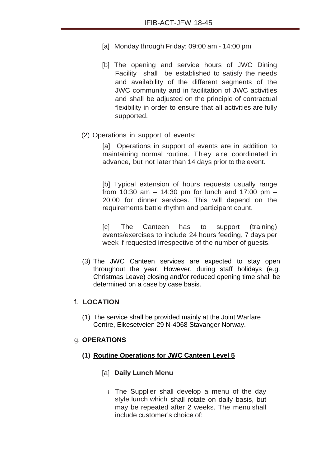- [a] Monday through Friday: 09:00 am 14:00 pm
- [b] The opening and service hours of JWC Dining Facility shall be established to satisfy the needs and availability of the different segments of the JWC community and in facilitation of JWC activities and shall be adjusted on the principle of contractual flexibility in order to ensure that all activities are fully supported.
- (2) Operations in support of events:

[a] Operations in support of events are in addition to maintaining normal routine. They are coordinated in advance, but not later than 14 days prior to the event.

[b] Typical extension of hours requests usually range from 10:30 am  $-$  14:30 pm for lunch and 17:00 pm  $-$ 20:00 for dinner services. This will depend on the requirements battle rhythm and participant count.

[c] The Canteen has to support (training) events/exercises to include 24 hours feeding, 7 days per week if requested irrespective of the number of guests.

(3) The JWC Canteen services are expected to stay open throughout the year. However, during staff holidays (e.g. Christmas Leave) closing and/or reduced opening time shall be determined on a case by case basis.

#### f. **LOCATION**

(1) The service shall be provided mainly at the Joint Warfare Centre, Eikesetveien 29 N-4068 Stavanger Norway.

#### g. **OPERATIONS**

**(1) Routine Operations for JWC Canteen Level 5**

#### [a] **Daily Lunch Menu**

i. The Supplier shall develop a menu of the day style lunch which shall rotate on daily basis, but may be repeated after 2 weeks. The menu shall include customer's choice of: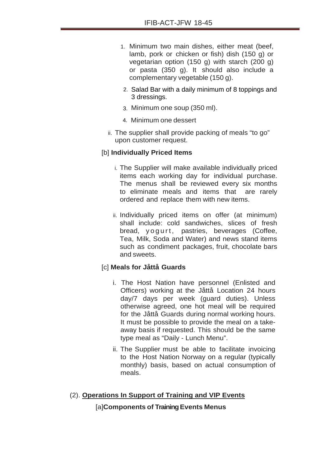- 1. Minimum two main dishes, either meat (beef, lamb, pork or chicken or fish) dish (150 g) or vegetarian option (150 g) with starch (200 g) or pasta (350 g). It should also include a complementary vegetable (150 g).
- 2. Salad Bar with a daily minimum of 8 toppings and 3 dressings.
- 3. Minimum one soup (350 ml).
- 4. Minimum one dessert
- ii. The supplier shall provide packing of meals "to go" upon customer request.

# [b] **Individually Priced Items**

- i. The Supplier will make available individually priced items each working day for individual purchase. The menus shall be reviewed every six months to eliminate meals and items that are rarely ordered and replace them with new items.
- ii. Individually priced items on offer (at minimum) shall include: cold sandwiches, slices of fresh bread, yogurt, pastries, beverages (Coffee, Tea, Milk, Soda and Water) and news stand items such as condiment packages, fruit, chocolate bars and sweets.

#### [c] **Meals for Jåttå Guards**

- i. The Host Nation have personnel (Enlisted and Officers) working at the Jåttå Location 24 hours day/7 days per week (guard duties). Unless otherwise agreed, one hot meal will be required for the Jåttå Guards during normal working hours. It must be possible to provide the meal on a takeaway basis if requested. This should be the same type meal as "Daily - Lunch Menu".
- ii. The Supplier must be able to facilitate invoicing to the Host Nation Norway on a regular (typically monthly) basis, based on actual consumption of meals.

# (2). **Operations In Support of Training and VIP Events**

#### [a]**Components of Training Events Menus**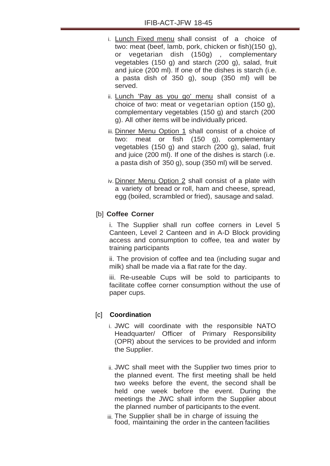- i. Lunch Fixed menu shall consist of a choice of two: meat (beef, lamb, pork, chicken or fish)(150 g), or vegetarian dish (150g) , complementary vegetables (150 g) and starch (200 g), salad, fruit and juice (200 ml). If one of the dishes is starch (i.e. a pasta dish of 350 g), soup (350 ml) will be served.
- ii. Lunch 'Pay as you go' menu shall consist of a choice of two: meat or vegetarian option (150 g), complementary vegetables (150 g) and starch (200 g). All other items will be individually priced.
- iii. Dinner Menu Option 1 shall consist of a choice of two: meat or fish (150 g), complementary vegetables (150 g) and starch (200 g), salad, fruit and juice (200 ml). If one of the dishes is starch (i.e. a pasta dish of 350 g), soup (350 ml) will be served.
- iv. Dinner Menu Option 2 shall consist of a plate with a variety of bread or roll, ham and cheese, spread, egg (boiled, scrambled or fried), sausage and salad.

# [b] **Coffee Corner**

i. The Supplier shall run coffee corners in Level 5 Canteen, Level 2 Canteen and in A-D Block providing access and consumption to coffee, tea and water by training participants

ii. The provision of coffee and tea (including sugar and milk) shall be made via a flat rate for the day.

iii. Re-useable Cups will be sold to participants to facilitate coffee corner consumption without the use of paper cups.

# [c] **Coordination**

- i. JWC will coordinate with the responsible NATO Headquarter/ Officer of Primary Responsibility (OPR) about the services to be provided and inform the Supplier.
- ii. JWC shall meet with the Supplier two times prior to the planned event. The first meeting shall be held two weeks before the event, the second shall be held one week before the event. During the meetings the JWC shall inform the Supplier about the planned number of participants to the event.
- iii. The Supplier shall be in charge of issuing the food, maintaining the order in the canteen facilities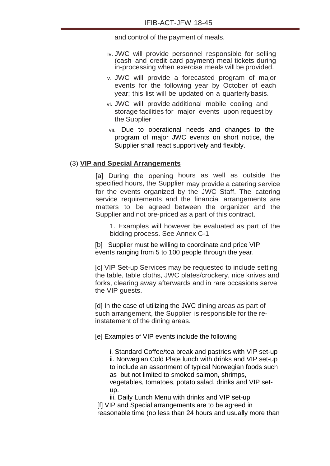and control of the payment of meals.

- iv. JWC will provide personnel responsible for selling (cash and credit card payment) meal tickets during in-processing when exercise meals will be provided.
- v. JWC will provide a forecasted program of major events for the following year by October of each year; this list will be updated on a quarterly basis.
- vi. JWC will provide additional mobile cooling and storage facilities for major events upon request by the Supplier
- vii. Due to operational needs and changes to the program of major JWC events on short notice, the Supplier shall react supportively and flexibly.

# (3) **VIP and Special Arrangements**

[a] During the opening hours as well as outside the specified hours, the Supplier may provide a catering service for the events organized by the JWC Staff. The catering service requirements and the financial arrangements are matters to be agreed between the organizer and the Supplier and not pre-priced as a part of this contract.

1. Examples will however be evaluated as part of the bidding process. See Annex C-1

[b] Supplier must be willing to coordinate and price VIP events ranging from 5 to 100 people through the year.

[c] VIP Set-up Services may be requested to include setting the table, table cloths, JWC plates/crockery, nice knives and forks, clearing away afterwards and in rare occasions serve the VIP guests.

[d] In the case of utilizing the JWC dining areas as part of such arrangement, the Supplier is responsible for the reinstatement of the dining areas.

[e] Examples of VIP events include the following

i. Standard Coffee/tea break and pastries with VIP set-up ii. Norwegian Cold Plate lunch with drinks and VIP set-up to include an assortment of typical Norwegian foods such as but not limited to smoked salmon, shrimps, vegetables, tomatoes, potato salad, drinks and VIP set-

up. iii. Daily Lunch Menu with drinks and VIP set-up [f] VIP and Special arrangements are to be agreed in reasonable time (no less than 24 hours and usually more than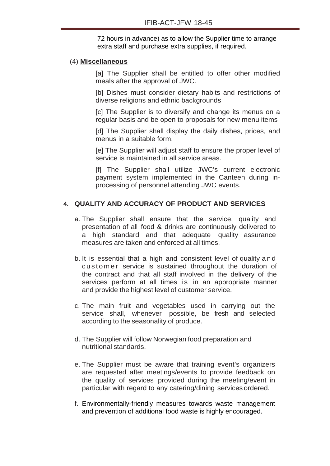72 hours in advance) as to allow the Supplier time to arrange extra staff and purchase extra supplies, if required.

#### (4) **Miscellaneous**

[a] The Supplier shall be entitled to offer other modified meals after the approval of JWC.

[b] Dishes must consider dietary habits and restrictions of diverse religions and ethnic backgrounds

[c] The Supplier is to diversify and change its menus on a regular basis and be open to proposals for new menu items

[d] The Supplier shall display the daily dishes, prices, and menus in a suitable form.

[e] The Supplier will adjust staff to ensure the proper level of service is maintained in all service areas.

[f] The Supplier shall utilize JWC's current electronic payment system implemented in the Canteen during inprocessing of personnel attending JWC events.

#### **4. QUALITY AND ACCURACY OF PRODUCT AND SERVICES**

- a. The Supplier shall ensure that the service, quality and presentation of all food & drinks are continuously delivered to a high standard and that adequate quality assurance measures are taken and enforced at all times.
- b. It is essential that a high and consistent level of quality and customer service is sustained throughout the duration of the contract and that all staff involved in the delivery of the services perform at all times is in an appropriate manner and provide the highest level of customer service.
- c. The main fruit and vegetables used in carrying out the service shall, whenever possible, be fresh and selected according to the seasonality of produce.
- d. The Supplier will follow Norwegian food preparation and nutritional standards.
- e. The Supplier must be aware that training event's organizers are requested after meetings/events to provide feedback on the quality of services provided during the meeting/event in particular with regard to any catering/dining services ordered.
- f. Environmentally-friendly measures towards waste management and prevention of additional food waste is highly encouraged.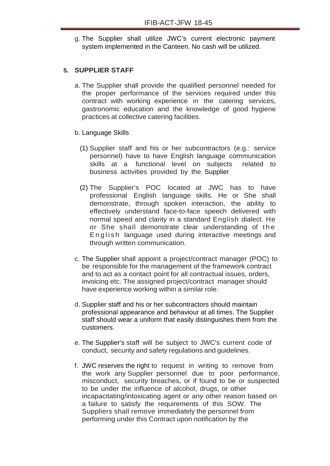g. The Supplier shall utilize JWC's current electronic payment system implemented in the Canteen. No cash will be utilized.

#### **5. SUPPLIER STAFF**

- a. The Supplier shall provide the qualified personnel needed for the proper performance of the services required under this contract with working experience in the catering services, gastronomic education and the knowledge of good hygiene practices at collective catering facilities.
- b. Language Skills
	- (1) Supplier staff and his or her subcontractors (e.g.: service personnel) have to have English language communication skills at a functional level on subjects related to business activities provided by the Supplier
	- (2) The Supplier's POC located at JWC has to have professional English language skills. He or She shall demonstrate, through spoken interaction, the ability to effectively understand face-to-face speech delivered with normal speed and clarity in a standard English dialect. He or She shall demonstrate clear understanding of the English language used during interactive meetings and through written communication.
- c. The Supplier shall appoint a project/contract manager (POC) to be responsible for the management of the framework contract and to act as a contact point for all contractual issues, orders, invoicing etc. The assigned project/contract manager should have experience working within a similar role.
- d. Supplier staff and his or her subcontractors should maintain professional appearance and behaviour at all times. The Supplier staff should wear a uniform that easily distinguishes them from the customers.
- e. The Supplier's staff will be subject to JWC's current code of conduct, security and safety regulations and guidelines.
- f. JWC reserves the right to request in writing to remove from the work any Supplier personnel due to poor performance, misconduct, security breaches, or if found to be or suspected to be under the influence of alcohol, drugs, or other incapacitating/intoxicating agent or any other reason based on a failure to satisfy the requirements of this SOW. The Suppliers shall remove immediately the personnel from performing under this Contract upon notification by the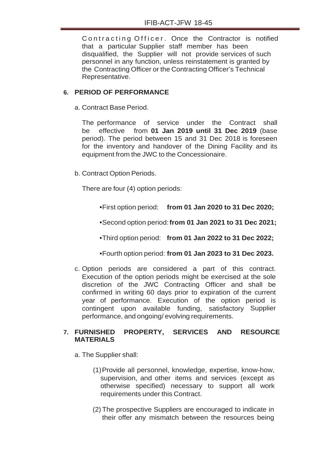Contracting Officer. Once the Contractor is notified that a particular Supplier staff member has been disqualified, the Supplier will not provide services of such personnel in any function, unless reinstatement is granted by the Contracting Officer or the Contracting Officer's Technical Representative.

#### **6. PERIOD OF PERFORMANCE**

a. Contract Base Period.

The performance of service under the Contract shall be effective from **01 Jan 2019 until 31 Dec 2019** (base period). The period between 15 and 31 Dec 2018 is foreseen for the inventory and handover of the Dining Facility and its equipment from the JWC to the Concessionaire.

b. Contract Option Periods.

There are four (4) option periods:

- •First option period: **from 01 Jan 2020 to 31 Dec 2020;**
- •Second option period:**from 01 Jan 2021 to 31 Dec 2021;**
- •Third option period: **from 01 Jan 2022 to 31 Dec 2022;**
- •Fourth option period: **from 01 Jan 2023 to 31 Dec 2023.**
- c. Option periods are considered a part of this contract. Execution of the option periods might be exercised at the sole discretion of the JWC Contracting Officer and shall be confirmed in writing 60 days prior to expiration of the current year of performance. Execution of the option period is contingent upon available funding, satisfactory Supplier performance, and ongoing/ evolving requirements.

# **7. FURNISHED PROPERTY, SERVICES AND RESOURCE MATERIALS**

- a. The Supplier shall:
	- (1)Provide all personnel, knowledge, expertise, know-how, supervision, and other items and services (except as otherwise specified) necessary to support all work requirements under this Contract.
	- (2) The prospective Suppliers are encouraged to indicate in their offer any mismatch between the resources being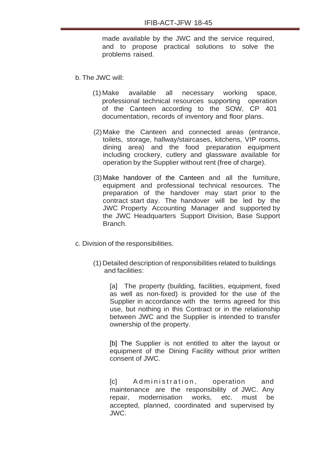made available by the JWC and the service required, and to propose practical solutions to solve the problems raised.

b. The JWC will:

- (1) Make available all necessary working space, professional technical resources supporting operation of the Canteen according to the SOW, CP 401 documentation, records of inventory and floor plans.
- (2) Make the Canteen and connected areas (entrance, toilets, storage, hallway/staircases, kitchens, VIP rooms, dining area) and the food preparation equipment including crockery, cutlery and glassware available for operation by the Supplier without rent (free of charge).
- (3) Make handover of the Canteen and all the furniture, equipment and professional technical resources. The preparation of the handover may start prior to the contract start day. The handover will be led by the JWC Property Accounting Manager and supported by the JWC Headquarters Support Division, Base Support Branch.
- c. Division of the responsibilities.
	- (1) Detailed description of responsibilities related to buildings and facilities:

[a] The property (building, facilities, equipment, fixed as well as non-fixed) is provided for the use of the Supplier in accordance with the terms agreed for this use, but nothing in this Contract or in the relationship between JWC and the Supplier is intended to transfer ownership of the property.

[b] The Supplier is not entitled to alter the layout or equipment of the Dining Facility without prior written consent of JWC.

[c] Administration, operation and maintenance are the responsibility of JWC. Any repair, modernisation works, etc. must be accepted, planned, coordinated and supervised by JWC.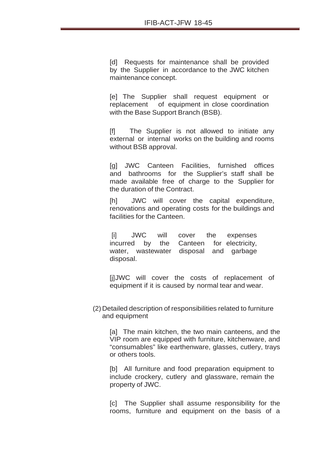[d] Requests for maintenance shall be provided by the Supplier in accordance to the JWC kitchen maintenance concept.

[e] The Supplier shall request equipment or replacement of equipment in close coordination with the Base Support Branch (BSB).

[f] The Supplier is not allowed to initiate any external or internal works on the building and rooms without BSB approval.

[g] JWC Canteen Facilities, furnished offices and bathrooms for the Supplier's staff shall be made available free of charge to the Supplier for the duration of the Contract.

[h] JWC will cover the capital expenditure, renovations and operating costs for the buildings and facilities for the Canteen.

[i] JWC will cover the expenses incurred by the Canteen for electricity, water, wastewater disposal and garbage disposal.

[j]JWC will cover the costs of replacement of equipment if it is caused by normal tear and wear.

(2) Detailed description of responsibilities related to furniture and equipment

[a] The main kitchen, the two main canteens, and the VIP room are equipped with furniture, kitchenware, and "consumables" like earthenware, glasses, cutlery, trays or others tools.

[b] All furniture and food preparation equipment to include crockery, cutlery and glassware, remain the property of JWC.

[c] The Supplier shall assume responsibility for the rooms, furniture and equipment on the basis of a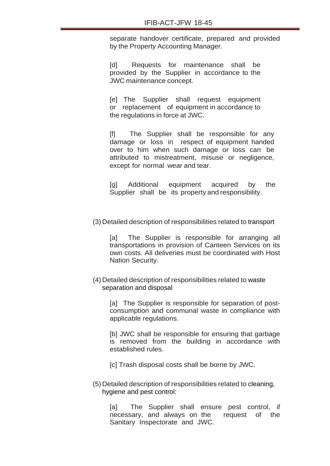separate handover certificate, prepared and provided by the Property Accounting Manager.

[d] Requests for maintenance shall be provided by the Supplier in accordance to the JWC maintenance concept.

[e] The Supplier shall request equipment or replacement of equipment in accordance to the regulations in force at JWC.

[f] The Supplier shall be responsible for any damage or loss in respect of equipment handed over to him when such damage or loss can be attributed to mistreatment, misuse or negligence, except for normal wear and tear.

[g] Additional equipment acquired by the Supplier shall be its property and responsibility.

(3) Detailed description of responsibilities related to transport

[a] The Supplier is responsible for arranging all transportations in provision of Canteen Services on its own costs. All deliveries must be coordinated with Host Nation Security.

(4) Detailed description of responsibilities related to waste separation and disposal

[a] The Supplier is responsible for separation of postconsumption and communal waste in compliance with applicable regulations.

[b] JWC shall be responsible for ensuring that garbage is removed from the building in accordance with established rules.

- [c] Trash disposal costs shall be borne by JWC.
- (5) Detailed description of responsibilities related to cleaning, hygiene and pest control:

[a] The Supplier shall ensure pest control, if necessary, and always on the request of the Sanitary Inspectorate and JWC.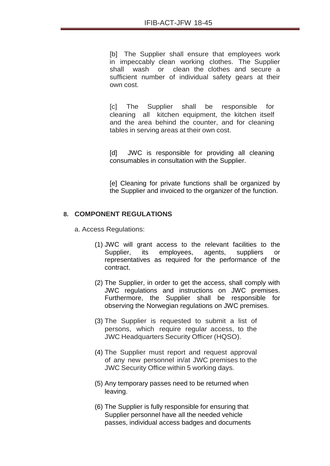[b] The Supplier shall ensure that employees work in impeccably clean working clothes. The Supplier shall wash or clean the clothes and secure a sufficient number of individual safety gears at their own cost.

[c] The Supplier shall be responsible for cleaning all kitchen equipment, the kitchen itself and the area behind the counter, and for cleaning tables in serving areas at their own cost.

[d] JWC is responsible for providing all cleaning consumables in consultation with the Supplier.

[e] Cleaning for private functions shall be organized by the Supplier and invoiced to the organizer of the function.

#### **8. COMPONENT REGULATIONS**

a. Access Regulations:

- (1) JWC will grant access to the relevant facilities to the Supplier, its employees, agents, suppliers or representatives as required for the performance of the contract.
- (2) The Supplier, in order to get the access, shall comply with JWC regulations and instructions on JWC premises. Furthermore, the Supplier shall be responsible for observing the Norwegian regulations on JWC premises.
- (3) The Supplier is requested to submit a list of persons, which require regular access, to the JWC Headquarters Security Officer (HQSO).
- (4) The Supplier must report and request approval of any new personnel in/at JWC premises to the JWC Security Office within 5 working days.
- (5) Any temporary passes need to be returned when leaving.
- (6) The Supplier is fully responsible for ensuring that Supplier personnel have all the needed vehicle passes, individual access badges and documents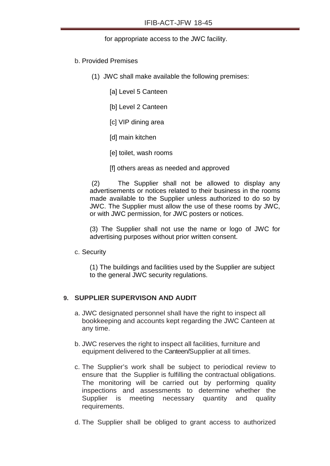#### for appropriate access to the JWC facility.

#### b. Provided Premises

- (1) JWC shall make available the following premises:
	- [a] Level 5 Canteen
	- [b] Level 2 Canteen
	- [c] VIP dining area
	- [d] main kitchen
	- [e] toilet, wash rooms
	- [f] others areas as needed and approved

(2) The Supplier shall not be allowed to display any advertisements or notices related to their business in the rooms made available to the Supplier unless authorized to do so by JWC. The Supplier must allow the use of these rooms by JWC, or with JWC permission, for JWC posters or notices.

(3) The Supplier shall not use the name or logo of JWC for advertising purposes without prior written consent.

#### c. Security

(1) The buildings and facilities used by the Supplier are subject to the general JWC security regulations.

#### **9. SUPPLIER SUPERVISON AND AUDIT**

- a. JWC designated personnel shall have the right to inspect all bookkeeping and accounts kept regarding the JWC Canteen at any time.
- b. JWC reserves the right to inspect all facilities, furniture and equipment delivered to the Canteen/Supplier at all times.
- c. The Supplier's work shall be subject to periodical review to ensure that the Supplier is fulfilling the contractual obligations. The monitoring will be carried out by performing quality inspections and assessments to determine whether the Supplier is meeting necessary quantity and quality requirements.
- d. The Supplier shall be obliged to grant access to authorized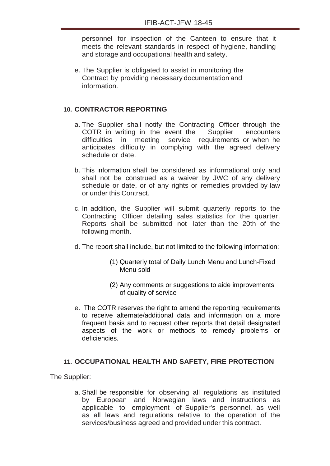personnel for inspection of the Canteen to ensure that it meets the relevant standards in respect of hygiene, handling and storage and occupational health and safety.

e. The Supplier is obligated to assist in monitoring the Contract by providing necessary documentation and information.

#### **10. CONTRACTOR REPORTING**

- a. The Supplier shall notify the Contracting Officer through the COTR in writing in the event the Supplier encounters difficulties in meeting service requirements or when he anticipates difficulty in complying with the agreed delivery schedule or date.
- b. This information shall be considered as informational only and shall not be construed as a waiver by JWC of any delivery schedule or date, or of any rights or remedies provided by law or under this Contract.
- c. In addition, the Supplier will submit quarterly reports to the Contracting Officer detailing sales statistics for the quarter. Reports shall be submitted not later than the 20th of the following month.
- d. The report shall include, but not limited to the following information:
	- (1) Quarterly total of Daily Lunch Menu and Lunch-Fixed Menu sold
	- (2) Any comments or suggestions to aide improvements of quality of service
- e. The COTR reserves the right to amend the reporting requirements to receive alternate/additional data and information on a more frequent basis and to request other reports that detail designated aspects of the work or methods to remedy problems or deficiencies.

#### **11. OCCUPATIONAL HEALTH AND SAFETY, FIRE PROTECTION**

The Supplier:

a. Shall be responsible for observing all regulations as instituted by European and Norwegian laws and instructions as applicable to employment of Supplier's personnel, as well as all laws and regulations relative to the operation of the services/business agreed and provided under this contract.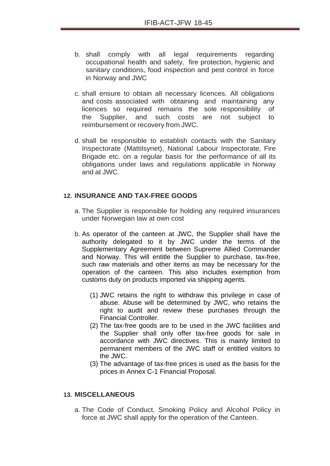- b. shall comply with all legal requirements regarding occupational health and safety, fire protection, hygienic and sanitary conditions, food inspection and pest control in force in Norway and JWC
- c. shall ensure to obtain all necessary licences. All obligations and costs associated with obtaining and maintaining any licences so required remains the sole responsibility of the Supplier, and such costs are not subject to reimbursement or recovery from JWC.
- d. shall be responsible to establish contacts with the Sanitary Inspectorate (Mattilsynet), National Labour Inspectorate, Fire Brigade etc. on a regular basis for the performance of all its obligations under laws and regulations applicable in Norway and at JWC.

# **12. INSURANCE AND TAX-FREE GOODS**

- a. The Supplier is responsible for holding any required insurances under Norwegian law at own cost
- b. As operator of the canteen at JWC, the Supplier shall have the authority delegated to it by JWC under the terms of the Supplementary Agreement between Supreme Allied Commander and Norway. This will entitle the Supplier to purchase, tax-free, such raw materials and other items as may be necessary for the operation of the canteen. This also includes exemption from customs duty on products imported via shipping agents.
	- (1) JWC retains the right to withdraw this privilege in case of abuse. Abuse will be determined by JWC, who retains the right to audit and review these purchases through the Financial Controller.
	- (2) The tax-free goods are to be used in the JWC facilities and the Supplier shall only offer tax-free goods for sale in accordance with JWC directives. This is mainly limited to permanent members of the JWC staff or entitled visitors to the JWC.
	- (3) The advantage of tax-free prices is used as the basis for the prices in Annex C-1 Financial Proposal.

#### **13. MISCELLANEOUS**

a. The Code of Conduct, Smoking Policy and Alcohol Policy in force at JWC shall apply for the operation of the Canteen.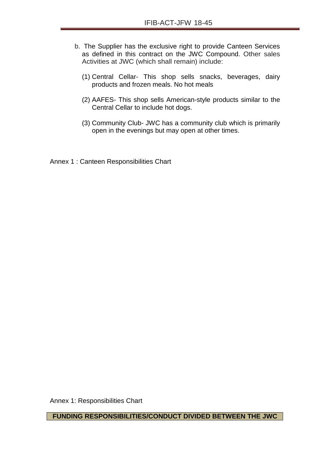- b. The Supplier has the exclusive right to provide Canteen Services as defined in this contract on the JWC Compound. Other sales Activities at JWC (which shall remain) include:
	- (1) Central Cellar- This shop sells snacks, beverages, dairy products and frozen meals. No hot meals
	- (2) AAFES- This shop sells American-style products similar to the Central Cellar to include hot dogs.
	- (3) Community Club- JWC has a community club which is primarily open in the evenings but may open at other times.

Annex 1 : Canteen Responsibilities Chart

Annex 1: Responsibilities Chart

**FUNDING RESPONSIBILITIES/CONDUCT DIVIDED BETWEEN THE JWC**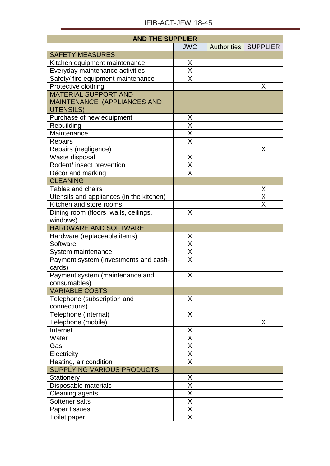# IFIB-ACT-JFW 18-45

| <b>AND THE SUPPLIER</b>                  |                         |  |                               |  |  |  |
|------------------------------------------|-------------------------|--|-------------------------------|--|--|--|
|                                          | <b>JWC</b>              |  | <b>Authorities   SUPPLIER</b> |  |  |  |
| <b>SAFETY MEASURES</b>                   |                         |  |                               |  |  |  |
| Kitchen equipment maintenance            | X                       |  |                               |  |  |  |
| Everyday maintenance activities          | X                       |  |                               |  |  |  |
| Safety/ fire equipment maintenance       | $\sf X$                 |  |                               |  |  |  |
| Protective clothing                      |                         |  | X                             |  |  |  |
| <b>MATERIAL SUPPORT AND</b>              |                         |  |                               |  |  |  |
| MAINTENANCE (APPLIANCES AND              |                         |  |                               |  |  |  |
| <b>UTENSILS)</b>                         |                         |  |                               |  |  |  |
| Purchase of new equipment                | X                       |  |                               |  |  |  |
| Rebuilding                               | $\overline{\mathsf{X}}$ |  |                               |  |  |  |
| Maintenance                              | $\overline{\mathsf{X}}$ |  |                               |  |  |  |
| Repairs                                  | $\overline{\mathsf{X}}$ |  |                               |  |  |  |
| Repairs (negligence)                     |                         |  | X                             |  |  |  |
| Waste disposal                           | $\overline{X}$          |  |                               |  |  |  |
| Rodent/ insect prevention                | $\overline{\mathsf{X}}$ |  |                               |  |  |  |
| Décor and marking                        | X                       |  |                               |  |  |  |
| <b>CLEANING</b>                          |                         |  |                               |  |  |  |
| Tables and chairs                        |                         |  | X                             |  |  |  |
| Utensils and appliances (in the kitchen) |                         |  | X                             |  |  |  |
| Kitchen and store rooms                  |                         |  | X                             |  |  |  |
| Dining room (floors, walls, ceilings,    | X.                      |  |                               |  |  |  |
| windows)                                 |                         |  |                               |  |  |  |
| HARDWARE AND SOFTWARE                    |                         |  |                               |  |  |  |
| Hardware (replaceable items)             | X                       |  |                               |  |  |  |
| Software                                 | $\mathsf X$             |  |                               |  |  |  |
| System maintenance                       | $\overline{\mathsf{X}}$ |  |                               |  |  |  |
| Payment system (investments and cash-    | $\overline{X}$          |  |                               |  |  |  |
| cards)                                   |                         |  |                               |  |  |  |
| Payment system (maintenance and          | X                       |  |                               |  |  |  |
| consumables)                             |                         |  |                               |  |  |  |
| <b>VARIABLE COSTS</b>                    |                         |  |                               |  |  |  |
| Telephone (subscription and              | X                       |  |                               |  |  |  |
| connections)                             |                         |  |                               |  |  |  |
| Telephone (internal)                     | X                       |  |                               |  |  |  |
| Telephone (mobile)                       |                         |  | X                             |  |  |  |
| Internet                                 | X                       |  |                               |  |  |  |
| Water                                    | $\overline{\mathsf{X}}$ |  |                               |  |  |  |
| Gas                                      | $\overline{X}$          |  |                               |  |  |  |
| Electricity                              | X                       |  |                               |  |  |  |
| Heating, air condition                   | X                       |  |                               |  |  |  |
| SUPPLYING VARIOUS PRODUCTS               |                         |  |                               |  |  |  |
| <b>Stationery</b>                        | X                       |  |                               |  |  |  |
| Disposable materials                     | X                       |  |                               |  |  |  |
| <b>Cleaning agents</b>                   | X                       |  |                               |  |  |  |
| Softener salts                           | X                       |  |                               |  |  |  |
| Paper tissues                            | X                       |  |                               |  |  |  |
| Toilet paper                             | X                       |  |                               |  |  |  |
|                                          |                         |  |                               |  |  |  |